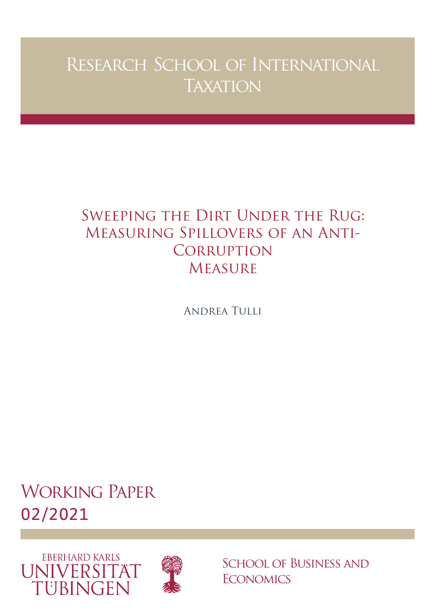# Research School of International **TAXATION**

# Sweeping the Dirt Under the Rug: Measuring Spillovers of an Anti-**CORRUPTION MEASURE**

Andrea Tulli

Working Paper 02/2021





School of Business and **ECONOMICS**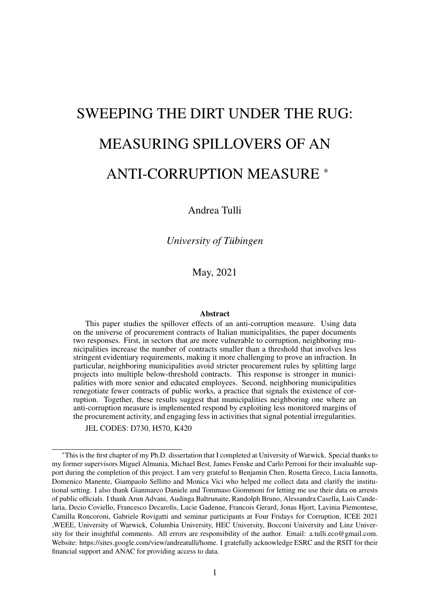# SWEEPING THE DIRT UNDER THE RUG: MEASURING SPILLOVERS OF AN ANTI-CORRUPTION MEASURE <sup>∗</sup>

Andrea Tulli

*University of Tübingen*

May, 2021

#### Abstract

This paper studies the spillover effects of an anti-corruption measure. Using data on the universe of procurement contracts of Italian municipalities, the paper documents two responses. First, in sectors that are more vulnerable to corruption, neighboring municipalities increase the number of contracts smaller than a threshold that involves less stringent evidentiary requirements, making it more challenging to prove an infraction. In particular, neighboring municipalities avoid stricter procurement rules by splitting large projects into multiple below-threshold contracts. This response is stronger in municipalities with more senior and educated employees. Second, neighboring municipalities renegotiate fewer contracts of public works, a practice that signals the existence of corruption. Together, these results suggest that municipalities neighboring one where an anti-corruption measure is implemented respond by exploiting less monitored margins of the procurement activity, and engaging less in activities that signal potential irregularities.

JEL CODES: D730, H570, K420

<sup>∗</sup>This is the first chapter of my Ph.D. dissertation that I completed at University of Warwick. Special thanks to my former supervisors Miguel Almunia, Michael Best, James Fenske and Carlo Perroni for their invaluable support during the completion of this project. I am very grateful to Benjamin Chen, Rosetta Greco, Lucia Iannotta, Domenico Manente, Giampaolo Sellitto and Monica Vici who helped me collect data and clarify the institutional setting. I also thank Gianmarco Daniele and Tommaso Giommoni for letting me use their data on arrests of public officials. I thank Arun Advani, Audinga Baltrunaite, Randolph Bruno, Alessandra Casella, Luis Candelaria, Decio Coviello, Francesco Decarolis, Lucie Gadenne, Francois Gerard, Jonas Hjort, Lavinia Piemontese, Camilla Roncoroni, Gabriele Rovigatti and seminar participants at Four Fridays for Corruption, ICEE 2021 ,WEEE, University of Warwick, Columbia University, HEC University, Bocconi University and Linz University for their insightful comments. All errors are responsibility of the author. Email: [a.tulli.eco@gmail.com.](mailto:a.tulli.eco@gmail.com) Website: [https://sites.google.com/view/andreatulli/home.](https://sites.google.com/view/andreatulli/home) I gratefully acknowledge ESRC and the [RSIT](https://www.rsit-uni-tuebingen.de/) for their financial support and ANAC for providing access to data.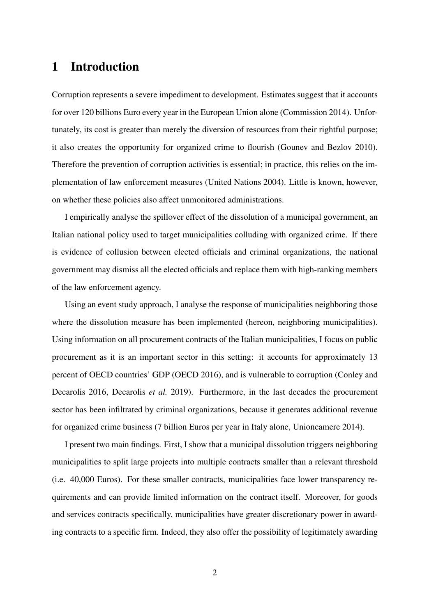### 1 Introduction

Corruption represents a severe impediment to development. Estimates suggest that it accounts for over 120 billions Euro every year in the European Union alone (Commission 2014). Unfortunately, its cost is greater than merely the diversion of resources from their rightful purpose; it also creates the opportunity for organized crime to flourish (Gounev and Bezlov 2010). Therefore the prevention of corruption activities is essential; in practice, this relies on the implementation of law enforcement measures (United Nations 2004). Little is known, however, on whether these policies also affect unmonitored administrations.

I empirically analyse the spillover effect of the dissolution of a municipal government, an Italian national policy used to target municipalities colluding with organized crime. If there is evidence of collusion between elected officials and criminal organizations, the national government may dismiss all the elected officials and replace them with high-ranking members of the law enforcement agency.

Using an event study approach, I analyse the response of municipalities neighboring those where the dissolution measure has been implemented (hereon, neighboring municipalities). Using information on all procurement contracts of the Italian municipalities, I focus on public procurement as it is an important sector in this setting: it accounts for approximately 13 percent of OECD countries' GDP (OECD 2016), and is vulnerable to corruption (Conley and Decarolis 2016, Decarolis *et al.* 2019). Furthermore, in the last decades the procurement sector has been infiltrated by criminal organizations, because it generates additional revenue for organized crime business (7 billion Euros per year in Italy alone, Unioncamere 2014).

I present two main findings. First, I show that a municipal dissolution triggers neighboring municipalities to split large projects into multiple contracts smaller than a relevant threshold (i.e. 40,000 Euros). For these smaller contracts, municipalities face lower transparency requirements and can provide limited information on the contract itself. Moreover, for goods and services contracts specifically, municipalities have greater discretionary power in awarding contracts to a specific firm. Indeed, they also offer the possibility of legitimately awarding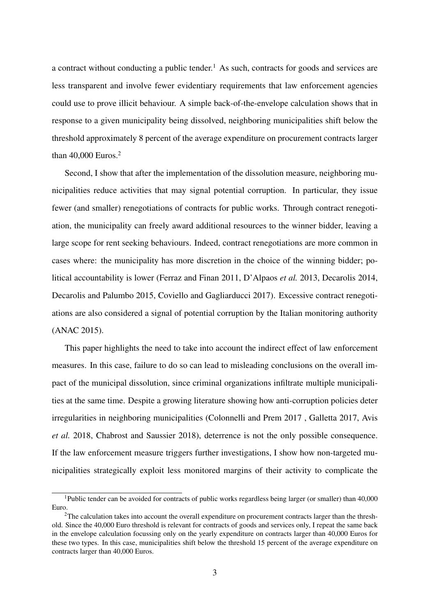a contract without conducting a public tender.<sup>1</sup> As such, contracts for goods and services are less transparent and involve fewer evidentiary requirements that law enforcement agencies could use to prove illicit behaviour. A simple back-of-the-envelope calculation shows that in response to a given municipality being dissolved, neighboring municipalities shift below the threshold approximately 8 percent of the average expenditure on procurement contracts larger than 40,000 Euros.<sup>2</sup>

Second, I show that after the implementation of the dissolution measure, neighboring municipalities reduce activities that may signal potential corruption. In particular, they issue fewer (and smaller) renegotiations of contracts for public works. Through contract renegotiation, the municipality can freely award additional resources to the winner bidder, leaving a large scope for rent seeking behaviours. Indeed, contract renegotiations are more common in cases where: the municipality has more discretion in the choice of the winning bidder; political accountability is lower (Ferraz and Finan 2011, D'Alpaos *et al.* 2013, Decarolis 2014, Decarolis and Palumbo 2015, Coviello and Gagliarducci 2017). Excessive contract renegotiations are also considered a signal of potential corruption by the Italian monitoring authority (ANAC 2015).

This paper highlights the need to take into account the indirect effect of law enforcement measures. In this case, failure to do so can lead to misleading conclusions on the overall impact of the municipal dissolution, since criminal organizations infiltrate multiple municipalities at the same time. Despite a growing literature showing how anti-corruption policies deter irregularities in neighboring municipalities (Colonnelli and Prem 2017 , Galletta 2017, Avis *et al.* 2018, Chabrost and Saussier 2018), deterrence is not the only possible consequence. If the law enforcement measure triggers further investigations, I show how non-targeted municipalities strategically exploit less monitored margins of their activity to complicate the

<sup>1</sup>Public tender can be avoided for contracts of public works regardless being larger (or smaller) than 40,000 Euro.

<sup>&</sup>lt;sup>2</sup>The calculation takes into account the overall expenditure on procurement contracts larger than the threshold. Since the 40,000 Euro threshold is relevant for contracts of goods and services only, I repeat the same back in the envelope calculation focussing only on the yearly expenditure on contracts larger than 40,000 Euros for these two types. In this case, municipalities shift below the threshold 15 percent of the average expenditure on contracts larger than 40,000 Euros.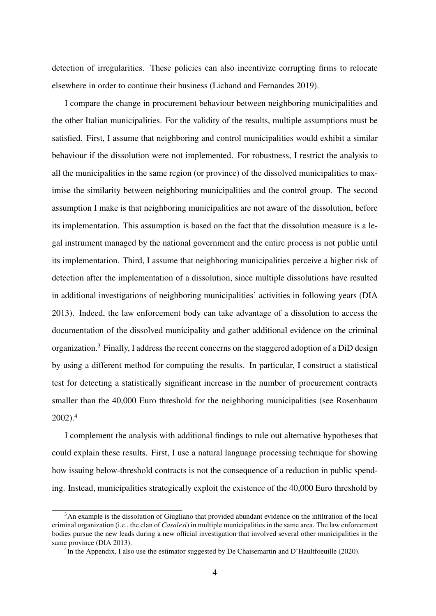detection of irregularities. These policies can also incentivize corrupting firms to relocate elsewhere in order to continue their business (Lichand and Fernandes 2019).

I compare the change in procurement behaviour between neighboring municipalities and the other Italian municipalities. For the validity of the results, multiple assumptions must be satisfied. First, I assume that neighboring and control municipalities would exhibit a similar behaviour if the dissolution were not implemented. For robustness, I restrict the analysis to all the municipalities in the same region (or province) of the dissolved municipalities to maximise the similarity between neighboring municipalities and the control group. The second assumption I make is that neighboring municipalities are not aware of the dissolution, before its implementation. This assumption is based on the fact that the dissolution measure is a legal instrument managed by the national government and the entire process is not public until its implementation. Third, I assume that neighboring municipalities perceive a higher risk of detection after the implementation of a dissolution, since multiple dissolutions have resulted in additional investigations of neighboring municipalities' activities in following years (DIA 2013). Indeed, the law enforcement body can take advantage of a dissolution to access the documentation of the dissolved municipality and gather additional evidence on the criminal organization.3 Finally, I address the recent concerns on the staggered adoption of a DiD design by using a different method for computing the results. In particular, I construct a statistical test for detecting a statistically significant increase in the number of procurement contracts smaller than the 40,000 Euro threshold for the neighboring municipalities (see Rosenbaum 2002).4

I complement the analysis with additional findings to rule out alternative hypotheses that could explain these results. First, I use a natural language processing technique for showing how issuing below-threshold contracts is not the consequence of a reduction in public spending. Instead, municipalities strategically exploit the existence of the 40,000 Euro threshold by

<sup>&</sup>lt;sup>3</sup>An example is the dissolution of Giugliano that provided abundant evidence on the infiltration of the local criminal organization (i.e., the clan of *Casalesi*) in multiple municipalities in the same area. The law enforcement bodies pursue the new leads during a new official investigation that involved several other municipalities in the same province (DIA 2013).

<sup>&</sup>lt;sup>4</sup>In the Appendix, I also use the estimator suggested by De Chaisemartin and D'Haultfoeuille (2020).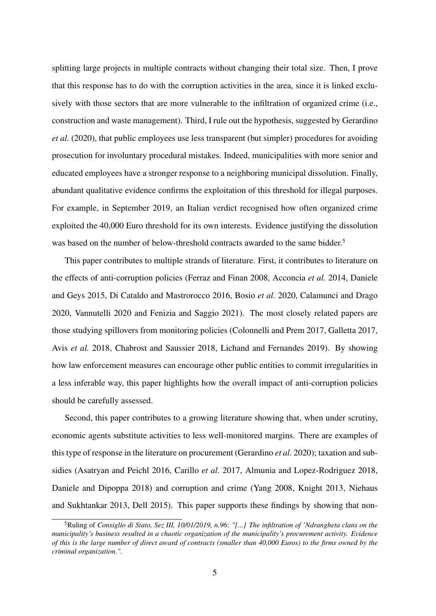splitting large projects in multiple contracts without changing their total size. Then, I prove that this response has to do with the corruption activities in the area, since it is linked exclusively with those sectors that are more vulnerable to the infiltration of organized crime (i.e., construction and waste management). Third, I rule out the hypothesis, suggested by Gerardino *et al.* (2020), that public employees use less transparent (but simpler) procedures for avoiding prosecution for involuntary procedural mistakes. Indeed, municipalities with more senior and educated employees have a stronger response to a neighboring municipal dissolution. Finally, abundant qualitative evidence confirms the exploitation of this threshold for illegal purposes. For example, in September 2019, an Italian verdict recognised how often organized crime exploited the 40,000 Euro threshold for its own interests. Evidence justifying the dissolution was based on the number of below-threshold contracts awarded to the same bidder.<sup>5</sup>

This paper contributes to multiple strands of literature. First, it contributes to literature on the effects of anti-corruption policies (Ferraz and Finan 2008, Acconcia *et al.* 2014, Daniele and Geys 2015, Di Cataldo and Mastrorocco 2016, Bosio *et al.* 2020, Calamunci and Drago 2020, Vannutelli 2020 and Fenizia and Saggio 2021). The most closely related papers are those studying spillovers from monitoring policies (Colonnelli and Prem 2017, Galletta 2017, Avis *et al.* 2018, Chabrost and Saussier 2018, Lichand and Fernandes 2019). By showing how law enforcement measures can encourage other public entities to commit irregularities in a less inferable way, this paper highlights how the overall impact of anti-corruption policies should be carefully assessed.

Second, this paper contributes to a growing literature showing that, when under scrutiny, economic agents substitute activities to less well-monitored margins. There are examples of this type of response in the literature on procurement (Gerardino *et al.* 2020); taxation and subsidies (Asatryan and Peichl 2016, Carillo *et al.* 2017, Almunia and Lopez-Rodriguez 2018, Daniele and Dipoppa 2018) and corruption and crime (Yang 2008, Knight 2013, Niehaus and Sukhtankar 2013, Dell 2015). This paper supports these findings by showing that non-

<sup>5</sup>Ruling of *Consiglio di Stato, Sez III, 10/01/2019, n.96*: *"[...] The infiltration of 'Ndrangheta clans on the municipality's business resulted in a chaotic organization of the municipality's procurement activity. Evidence of this is the large number of direct award of contracts (smaller than 40,000 Euros) to the firms owned by the criminal organization."*.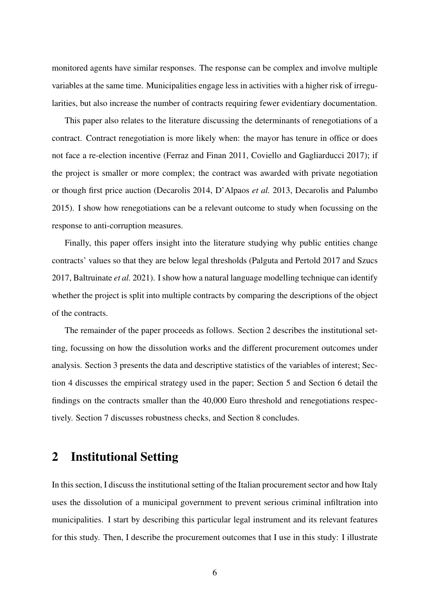monitored agents have similar responses. The response can be complex and involve multiple variables at the same time. Municipalities engage less in activities with a higher risk of irregularities, but also increase the number of contracts requiring fewer evidentiary documentation.

This paper also relates to the literature discussing the determinants of renegotiations of a contract. Contract renegotiation is more likely when: the mayor has tenure in office or does not face a re-election incentive (Ferraz and Finan 2011, Coviello and Gagliarducci 2017); if the project is smaller or more complex; the contract was awarded with private negotiation or though first price auction (Decarolis 2014, D'Alpaos *et al.* 2013, Decarolis and Palumbo 2015). I show how renegotiations can be a relevant outcome to study when focussing on the response to anti-corruption measures.

Finally, this paper offers insight into the literature studying why public entities change contracts' values so that they are below legal thresholds (Palguta and Pertold 2017 and Szucs 2017, Baltruinate *et al.* 2021). I show how a natural language modelling technique can identify whether the project is split into multiple contracts by comparing the descriptions of the object of the contracts.

The remainder of the paper proceeds as follows. Section 2 describes the institutional setting, focussing on how the dissolution works and the different procurement outcomes under analysis. Section 3 presents the data and descriptive statistics of the variables of interest; Section 4 discusses the empirical strategy used in the paper; Section 5 and Section 6 detail the findings on the contracts smaller than the 40,000 Euro threshold and renegotiations respectively. Section 7 discusses robustness checks, and Section 8 concludes.

### 2 Institutional Setting

In this section, I discuss the institutional setting of the Italian procurement sector and how Italy uses the dissolution of a municipal government to prevent serious criminal infiltration into municipalities. I start by describing this particular legal instrument and its relevant features for this study. Then, I describe the procurement outcomes that I use in this study: I illustrate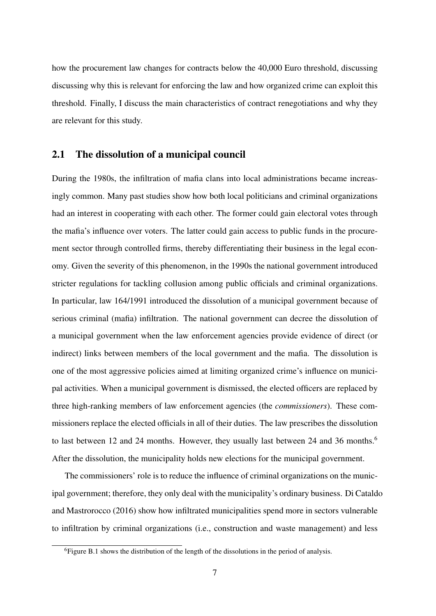how the procurement law changes for contracts below the 40,000 Euro threshold, discussing discussing why this is relevant for enforcing the law and how organized crime can exploit this threshold. Finally, I discuss the main characteristics of contract renegotiations and why they are relevant for this study.

#### 2.1 The dissolution of a municipal council

During the 1980s, the infiltration of mafia clans into local administrations became increasingly common. Many past studies show how both local politicians and criminal organizations had an interest in cooperating with each other. The former could gain electoral votes through the mafia's influence over voters. The latter could gain access to public funds in the procurement sector through controlled firms, thereby differentiating their business in the legal economy. Given the severity of this phenomenon, in the 1990s the national government introduced stricter regulations for tackling collusion among public officials and criminal organizations. In particular, law 164/1991 introduced the dissolution of a municipal government because of serious criminal (mafia) infiltration. The national government can decree the dissolution of a municipal government when the law enforcement agencies provide evidence of direct (or indirect) links between members of the local government and the mafia. The dissolution is one of the most aggressive policies aimed at limiting organized crime's influence on municipal activities. When a municipal government is dismissed, the elected officers are replaced by three high-ranking members of law enforcement agencies (the *commissioners*). These commissioners replace the elected officials in all of their duties. The law prescribes the dissolution to last between 12 and 24 months. However, they usually last between 24 and 36 months.<sup>6</sup> After the dissolution, the municipality holds new elections for the municipal government.

The commissioners' role is to reduce the influence of criminal organizations on the municipal government; therefore, they only deal with the municipality's ordinary business. Di Cataldo and Mastrorocco (2016) show how infiltrated municipalities spend more in sectors vulnerable to infiltration by criminal organizations (i.e., construction and waste management) and less

<sup>&</sup>lt;sup>6</sup>Figure B.1 shows the distribution of the length of the dissolutions in the period of analysis.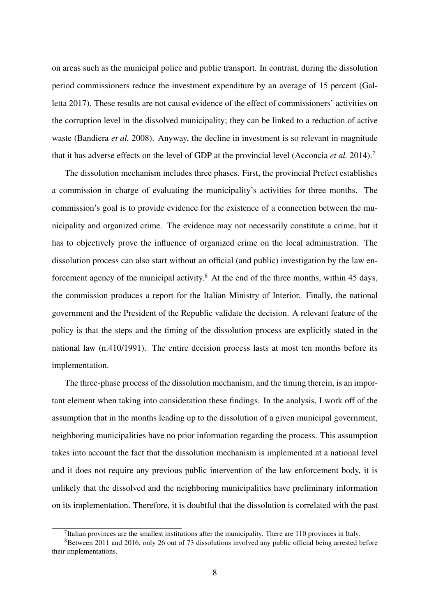on areas such as the municipal police and public transport. In contrast, during the dissolution period commissioners reduce the investment expenditure by an average of 15 percent (Galletta 2017). These results are not causal evidence of the effect of commissioners' activities on the corruption level in the dissolved municipality; they can be linked to a reduction of active waste (Bandiera *et al.* 2008). Anyway, the decline in investment is so relevant in magnitude that it has adverse effects on the level of GDP at the provincial level (Acconcia *et al.* 2014).7

The dissolution mechanism includes three phases. First, the provincial Prefect establishes a commission in charge of evaluating the municipality's activities for three months. The commission's goal is to provide evidence for the existence of a connection between the municipality and organized crime. The evidence may not necessarily constitute a crime, but it has to objectively prove the influence of organized crime on the local administration. The dissolution process can also start without an official (and public) investigation by the law enforcement agency of the municipal activity.<sup>8</sup> At the end of the three months, within 45 days, the commission produces a report for the Italian Ministry of Interior. Finally, the national government and the President of the Republic validate the decision. A relevant feature of the policy is that the steps and the timing of the dissolution process are explicitly stated in the national law (n.410/1991). The entire decision process lasts at most ten months before its implementation.

The three-phase process of the dissolution mechanism, and the timing therein, is an important element when taking into consideration these findings. In the analysis, I work off of the assumption that in the months leading up to the dissolution of a given municipal government, neighboring municipalities have no prior information regarding the process. This assumption takes into account the fact that the dissolution mechanism is implemented at a national level and it does not require any previous public intervention of the law enforcement body, it is unlikely that the dissolved and the neighboring municipalities have preliminary information on its implementation. Therefore, it is doubtful that the dissolution is correlated with the past

<sup>&</sup>lt;sup>7</sup>Italian provinces are the smallest institutions after the municipality. There are 110 provinces in Italy.

<sup>8</sup>Between 2011 and 2016, only 26 out of 73 dissolutions involved any public official being arrested before their implementations.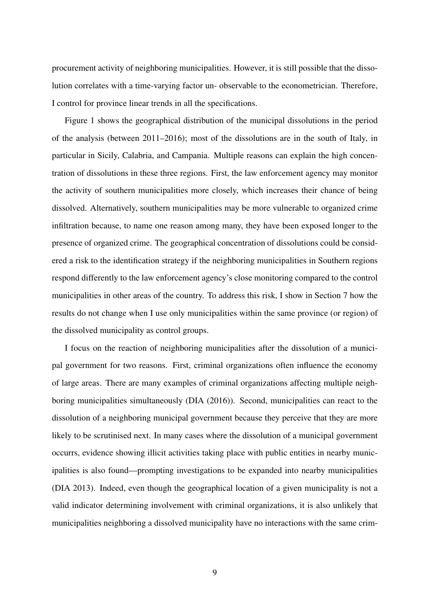procurement activity of neighboring municipalities. However, it is still possible that the dissolution correlates with a time-varying factor un- observable to the econometrician. Therefore, I control for province linear trends in all the specifications.

Figure 1 shows the geographical distribution of the municipal dissolutions in the period of the analysis (between 2011–2016); most of the dissolutions are in the south of Italy, in particular in Sicily, Calabria, and Campania. Multiple reasons can explain the high concentration of dissolutions in these three regions. First, the law enforcement agency may monitor the activity of southern municipalities more closely, which increases their chance of being dissolved. Alternatively, southern municipalities may be more vulnerable to organized crime infiltration because, to name one reason among many, they have been exposed longer to the presence of organized crime. The geographical concentration of dissolutions could be considered a risk to the identification strategy if the neighboring municipalities in Southern regions respond differently to the law enforcement agency's close monitoring compared to the control municipalities in other areas of the country. To address this risk, I show in Section 7 how the results do not change when I use only municipalities within the same province (or region) of the dissolved municipality as control groups.

I focus on the reaction of neighboring municipalities after the dissolution of a municipal government for two reasons. First, criminal organizations often influence the economy of large areas. There are many examples of criminal organizations affecting multiple neighboring municipalities simultaneously (DIA (2016)). Second, municipalities can react to the dissolution of a neighboring municipal government because they perceive that they are more likely to be scrutinised next. In many cases where the dissolution of a municipal government occurrs, evidence showing illicit activities taking place with public entities in nearby municipalities is also found—prompting investigations to be expanded into nearby municipalities (DIA 2013). Indeed, even though the geographical location of a given municipality is not a valid indicator determining involvement with criminal organizations, it is also unlikely that municipalities neighboring a dissolved municipality have no interactions with the same crim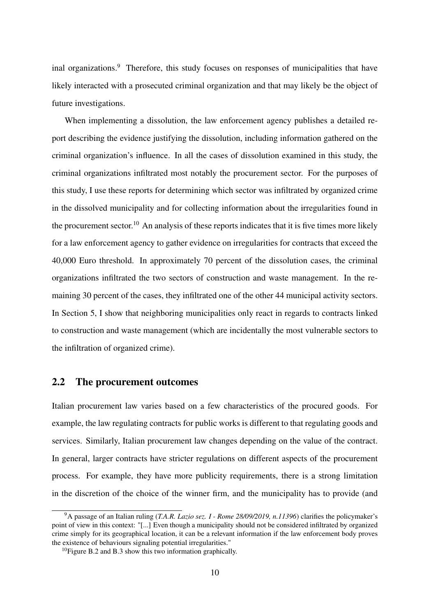inal organizations.<sup>9</sup> Therefore, this study focuses on responses of municipalities that have likely interacted with a prosecuted criminal organization and that may likely be the object of future investigations.

When implementing a dissolution, the law enforcement agency publishes a detailed report describing the evidence justifying the dissolution, including information gathered on the criminal organization's influence. In all the cases of dissolution examined in this study, the criminal organizations infiltrated most notably the procurement sector. For the purposes of this study, I use these reports for determining which sector was infiltrated by organized crime in the dissolved municipality and for collecting information about the irregularities found in the procurement sector.<sup>10</sup> An analysis of these reports indicates that it is five times more likely for a law enforcement agency to gather evidence on irregularities for contracts that exceed the 40,000 Euro threshold. In approximately 70 percent of the dissolution cases, the criminal organizations infiltrated the two sectors of construction and waste management. In the remaining 30 percent of the cases, they infiltrated one of the other 44 municipal activity sectors. In Section 5, I show that neighboring municipalities only react in regards to contracts linked to construction and waste management (which are incidentally the most vulnerable sectors to the infiltration of organized crime).

#### 2.2 The procurement outcomes

Italian procurement law varies based on a few characteristics of the procured goods. For example, the law regulating contracts for public works is different to that regulating goods and services. Similarly, Italian procurement law changes depending on the value of the contract. In general, larger contracts have stricter regulations on different aspects of the procurement process. For example, they have more publicity requirements, there is a strong limitation in the discretion of the choice of the winner firm, and the municipality has to provide (and

<sup>9</sup>A passage of an Italian ruling (*T.A.R. Lazio sez. I - Rome 28/09/2019, n.11396*) clarifies the policymaker's point of view in this context: "[...] Even though a municipality should not be considered infiltrated by organized crime simply for its geographical location, it can be a relevant information if the law enforcement body proves the existence of behaviours signaling potential irregularities."

 $10$ Figure B.2 and B.3 show this two information graphically.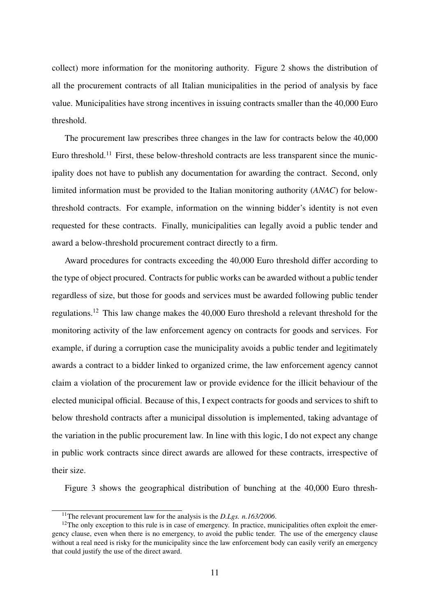collect) more information for the monitoring authority. Figure 2 shows the distribution of all the procurement contracts of all Italian municipalities in the period of analysis by face value. Municipalities have strong incentives in issuing contracts smaller than the 40,000 Euro threshold.

The procurement law prescribes three changes in the law for contracts below the 40,000 Euro threshold.<sup>11</sup> First, these below-threshold contracts are less transparent since the municipality does not have to publish any documentation for awarding the contract. Second, only limited information must be provided to the Italian monitoring authority (*ANAC*) for belowthreshold contracts. For example, information on the winning bidder's identity is not even requested for these contracts. Finally, municipalities can legally avoid a public tender and award a below-threshold procurement contract directly to a firm.

Award procedures for contracts exceeding the 40,000 Euro threshold differ according to the type of object procured. Contracts for public works can be awarded without a public tender regardless of size, but those for goods and services must be awarded following public tender regulations.12 This law change makes the 40,000 Euro threshold a relevant threshold for the monitoring activity of the law enforcement agency on contracts for goods and services. For example, if during a corruption case the municipality avoids a public tender and legitimately awards a contract to a bidder linked to organized crime, the law enforcement agency cannot claim a violation of the procurement law or provide evidence for the illicit behaviour of the elected municipal official. Because of this, I expect contracts for goods and services to shift to below threshold contracts after a municipal dissolution is implemented, taking advantage of the variation in the public procurement law. In line with this logic, I do not expect any change in public work contracts since direct awards are allowed for these contracts, irrespective of their size.

Figure 3 shows the geographical distribution of bunching at the 40,000 Euro thresh-

<sup>11</sup>The relevant procurement law for the analysis is the *D.Lgs. n.163/2006*.

<sup>&</sup>lt;sup>12</sup>The only exception to this rule is in case of emergency. In practice, municipalities often exploit the emergency clause, even when there is no emergency, to avoid the public tender. The use of the emergency clause without a real need is risky for the municipality since the law enforcement body can easily verify an emergency that could justify the use of the direct award.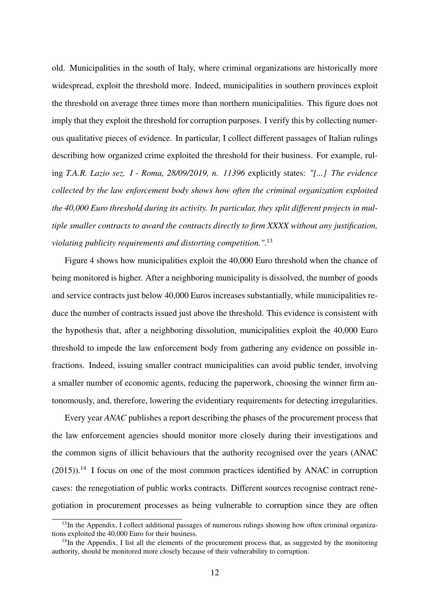old. Municipalities in the south of Italy, where criminal organizations are historically more widespread, exploit the threshold more. Indeed, municipalities in southern provinces exploit the threshold on average three times more than northern municipalities. This figure does not imply that they exploit the threshold for corruption purposes. I verify this by collecting numerous qualitative pieces of evidence. In particular, I collect different passages of Italian rulings describing how organized crime exploited the threshold for their business. For example, ruling *T.A.R. Lazio sez. I - Roma, 28/09/2019, n. 11396* explicitly states: *"[...] The evidence collected by the law enforcement body shows how often the criminal organization exploited the 40,000 Euro threshold during its activity. In particular, they split different projects in multiple smaller contracts to award the contracts directly to firm XXXX without any justification, violating publicity requirements and distorting competition."*. 13

Figure 4 shows how municipalities exploit the 40,000 Euro threshold when the chance of being monitored is higher. After a neighboring municipality is dissolved, the number of goods and service contracts just below 40,000 Euros increases substantially, while municipalities reduce the number of contracts issued just above the threshold. This evidence is consistent with the hypothesis that, after a neighboring dissolution, municipalities exploit the 40,000 Euro threshold to impede the law enforcement body from gathering any evidence on possible infractions. Indeed, issuing smaller contract municipalities can avoid public tender, involving a smaller number of economic agents, reducing the paperwork, choosing the winner firm autonomously, and, therefore, lowering the evidentiary requirements for detecting irregularities.

Every year *ANAC* publishes a report describing the phases of the procurement process that the law enforcement agencies should monitor more closely during their investigations and the common signs of illicit behaviours that the authority recognised over the years (ANAC  $(2015)$ <sup>14</sup>. I focus on one of the most common practices identified by ANAC in corruption cases: the renegotiation of public works contracts. Different sources recognise contract renegotiation in procurement processes as being vulnerable to corruption since they are often

<sup>&</sup>lt;sup>13</sup>In the Appendix, I collect additional passages of numerous rulings showing how often criminal organizations exploited the 40,000 Euro for their business.

<sup>&</sup>lt;sup>14</sup>In the Appendix, I list all the elements of the procurement process that, as suggested by the monitoring authority, should be monitored more closely because of their vulnerability to corruption.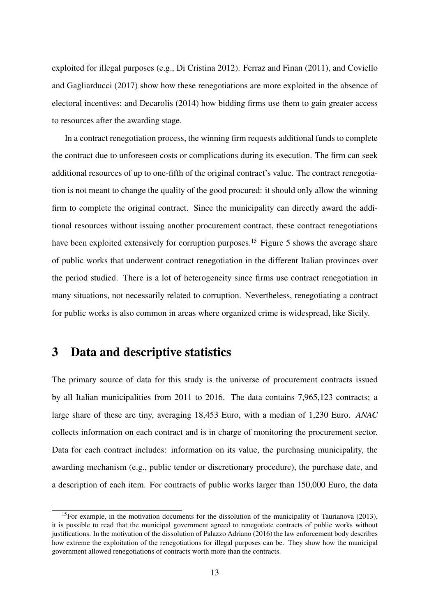exploited for illegal purposes (e.g., Di Cristina 2012). Ferraz and Finan (2011), and Coviello and Gagliarducci (2017) show how these renegotiations are more exploited in the absence of electoral incentives; and Decarolis (2014) how bidding firms use them to gain greater access to resources after the awarding stage.

In a contract renegotiation process, the winning firm requests additional funds to complete the contract due to unforeseen costs or complications during its execution. The firm can seek additional resources of up to one-fifth of the original contract's value. The contract renegotiation is not meant to change the quality of the good procured: it should only allow the winning firm to complete the original contract. Since the municipality can directly award the additional resources without issuing another procurement contract, these contract renegotiations have been exploited extensively for corruption purposes.<sup>15</sup> Figure 5 shows the average share of public works that underwent contract renegotiation in the different Italian provinces over the period studied. There is a lot of heterogeneity since firms use contract renegotiation in many situations, not necessarily related to corruption. Nevertheless, renegotiating a contract for public works is also common in areas where organized crime is widespread, like Sicily.

### 3 Data and descriptive statistics

The primary source of data for this study is the universe of procurement contracts issued by all Italian municipalities from 2011 to 2016. The data contains 7,965,123 contracts; a large share of these are tiny, averaging 18,453 Euro, with a median of 1,230 Euro. *ANAC* collects information on each contract and is in charge of monitoring the procurement sector. Data for each contract includes: information on its value, the purchasing municipality, the awarding mechanism (e.g., public tender or discretionary procedure), the purchase date, and a description of each item. For contracts of public works larger than 150,000 Euro, the data

<sup>&</sup>lt;sup>15</sup>For example, in the motivation documents for the dissolution of the municipality of Taurianova (2013), it is possible to read that the municipal government agreed to renegotiate contracts of public works without justifications. In the motivation of the dissolution of Palazzo Adriano (2016) the law enforcement body describes how extreme the exploitation of the renegotiations for illegal purposes can be. They show how the municipal government allowed renegotiations of contracts worth more than the contracts.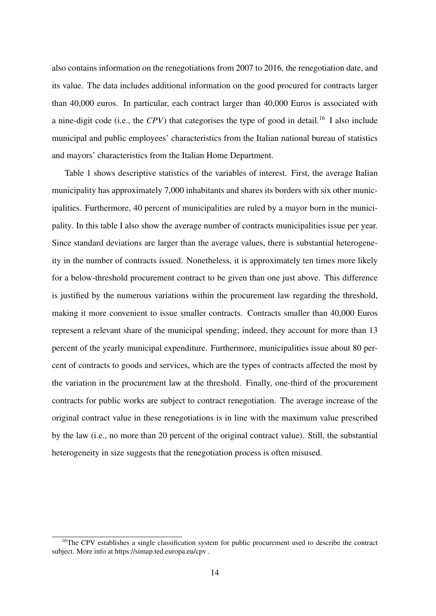also contains information on the renegotiations from 2007 to 2016, the renegotiation date, and its value. The data includes additional information on the good procured for contracts larger than 40,000 euros. In particular, each contract larger than 40,000 Euros is associated with a nine-digit code (i.e., the *CPV*) that categorises the type of good in detail.16 I also include municipal and public employees' characteristics from the Italian national bureau of statistics and mayors' characteristics from the Italian Home Department.

Table 1 shows descriptive statistics of the variables of interest. First, the average Italian municipality has approximately 7,000 inhabitants and shares its borders with six other municipalities. Furthermore, 40 percent of municipalities are ruled by a mayor born in the municipality. In this table I also show the average number of contracts municipalities issue per year. Since standard deviations are larger than the average values, there is substantial heterogeneity in the number of contracts issued. Nonetheless, it is approximately ten times more likely for a below-threshold procurement contract to be given than one just above. This difference is justified by the numerous variations within the procurement law regarding the threshold, making it more convenient to issue smaller contracts. Contracts smaller than 40,000 Euros represent a relevant share of the municipal spending; indeed, they account for more than 13 percent of the yearly municipal expenditure. Furthermore, municipalities issue about 80 percent of contracts to goods and services, which are the types of contracts affected the most by the variation in the procurement law at the threshold. Finally, one-third of the procurement contracts for public works are subject to contract renegotiation. The average increase of the original contract value in these renegotiations is in line with the maximum value prescribed by the law (i.e., no more than 20 percent of the original contract value). Still, the substantial heterogeneity in size suggests that the renegotiation process is often misused.

<sup>&</sup>lt;sup>16</sup>The CPV establishes a single classification system for public procurement used to describe the contract subject. More info at https://simap.ted.europa.eu/cpv .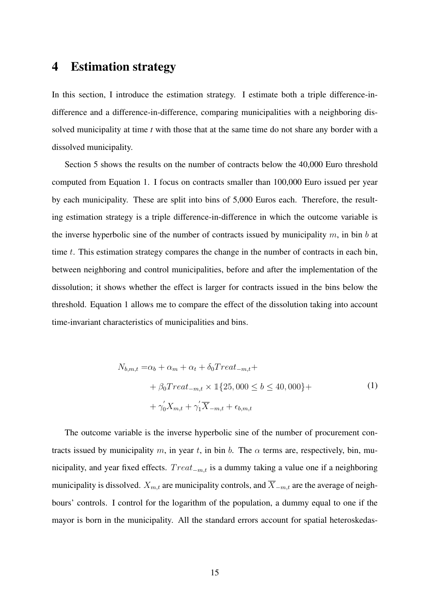### 4 Estimation strategy

In this section, I introduce the estimation strategy. I estimate both a triple difference-indifference and a difference-in-difference, comparing municipalities with a neighboring dissolved municipality at time *t* with those that at the same time do not share any border with a dissolved municipality.

Section 5 shows the results on the number of contracts below the 40,000 Euro threshold computed from Equation 1. I focus on contracts smaller than 100,000 Euro issued per year by each municipality. These are split into bins of 5,000 Euros each. Therefore, the resulting estimation strategy is a triple difference-in-difference in which the outcome variable is the inverse hyperbolic sine of the number of contracts issued by municipality  $m$ , in bin b at time t. This estimation strategy compares the change in the number of contracts in each bin, between neighboring and control municipalities, before and after the implementation of the dissolution; it shows whether the effect is larger for contracts issued in the bins below the threshold. Equation 1 allows me to compare the effect of the dissolution taking into account time-invariant characteristics of municipalities and bins.

$$
N_{b,m,t} = \alpha_b + \alpha_m + \alpha_t + \delta_0 Treat_{-m,t} ++ \beta_0 Treat_{-m,t} \times \mathbb{1}\{25,000 \le b \le 40,000\} ++ \gamma_0' X_{m,t} + \gamma_1' \overline{X}_{-m,t} + \epsilon_{b,m,t}
$$
 (1)

The outcome variable is the inverse hyperbolic sine of the number of procurement contracts issued by municipality m, in year t, in bin b. The  $\alpha$  terms are, respectively, bin, municipality, and year fixed effects.  $Treat_{-m,t}$  is a dummy taking a value one if a neighboring municipality is dissolved.  $X_{m,t}$  are municipality controls, and  $\overline{X}_{-m,t}$  are the average of neighbours' controls. I control for the logarithm of the population, a dummy equal to one if the mayor is born in the municipality. All the standard errors account for spatial heteroskedas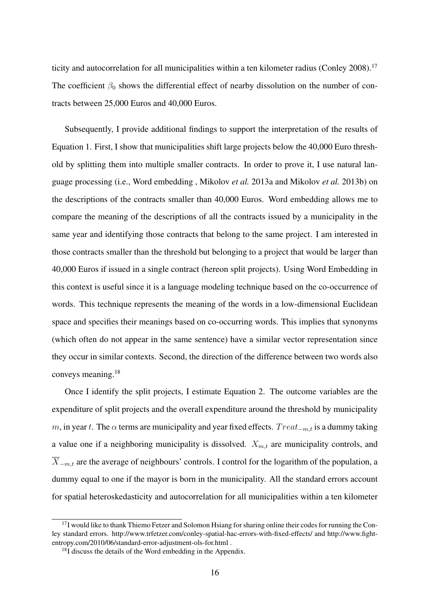ticity and autocorrelation for all municipalities within a ten kilometer radius (Conley 2008).<sup>17</sup> The coefficient  $\beta_0$  shows the differential effect of nearby dissolution on the number of contracts between 25,000 Euros and 40,000 Euros.

Subsequently, I provide additional findings to support the interpretation of the results of Equation 1. First, I show that municipalities shift large projects below the 40,000 Euro threshold by splitting them into multiple smaller contracts. In order to prove it, I use natural language processing (i.e., Word embedding , Mikolov *et al.* 2013a and Mikolov *et al.* 2013b) on the descriptions of the contracts smaller than 40,000 Euros. Word embedding allows me to compare the meaning of the descriptions of all the contracts issued by a municipality in the same year and identifying those contracts that belong to the same project. I am interested in those contracts smaller than the threshold but belonging to a project that would be larger than 40,000 Euros if issued in a single contract (hereon split projects). Using Word Embedding in this context is useful since it is a language modeling technique based on the co-occurrence of words. This technique represents the meaning of the words in a low-dimensional Euclidean space and specifies their meanings based on co-occurring words. This implies that synonyms (which often do not appear in the same sentence) have a similar vector representation since they occur in similar contexts. Second, the direction of the difference between two words also conveys meaning.18

Once I identify the split projects, I estimate Equation 2. The outcome variables are the expenditure of split projects and the overall expenditure around the threshold by municipality m, in year t. The  $\alpha$  terms are municipality and year fixed effects.  $Treat_{-m,t}$  is a dummy taking a value one if a neighboring municipality is dissolved.  $X_{m,t}$  are municipality controls, and  $\overline{X}_{-m,t}$  are the average of neighbours' controls. I control for the logarithm of the population, a dummy equal to one if the mayor is born in the municipality. All the standard errors account for spatial heteroskedasticity and autocorrelation for all municipalities within a ten kilometer

 $17$ I would like to thank Thiemo Fetzer and Solomon Hsiang for sharing online their codes for running the Conley standard errors. http://www.trfetzer.com/conley-spatial-hac-errors-with-fixed-effects/ and http://www.fightentropy.com/2010/06/standard-error-adjustment-ols-for.html .

 $18$ I discuss the details of the Word embedding in the Appendix.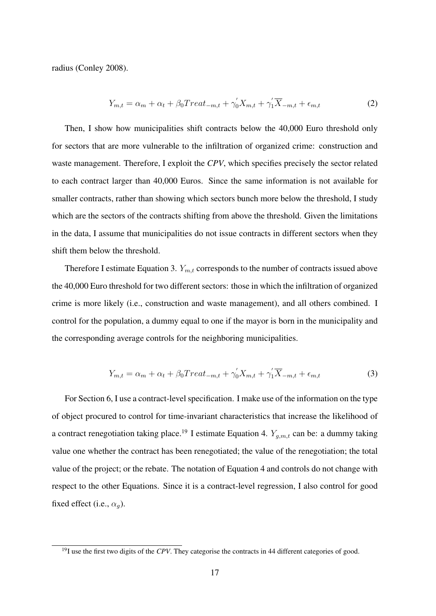radius (Conley 2008).

$$
Y_{m,t} = \alpha_m + \alpha_t + \beta_0 Treat_{-m,t} + \gamma'_0 X_{m,t} + \gamma'_1 \overline{X}_{-m,t} + \epsilon_{m,t}
$$
 (2)

Then, I show how municipalities shift contracts below the 40,000 Euro threshold only for sectors that are more vulnerable to the infiltration of organized crime: construction and waste management. Therefore, I exploit the *CPV*, which specifies precisely the sector related to each contract larger than 40,000 Euros. Since the same information is not available for smaller contracts, rather than showing which sectors bunch more below the threshold, I study which are the sectors of the contracts shifting from above the threshold. Given the limitations in the data, I assume that municipalities do not issue contracts in different sectors when they shift them below the threshold.

Therefore I estimate Equation 3.  $Y_{m,t}$  corresponds to the number of contracts issued above the 40,000 Euro threshold for two different sectors: those in which the infiltration of organized crime is more likely (i.e., construction and waste management), and all others combined. I control for the population, a dummy equal to one if the mayor is born in the municipality and the corresponding average controls for the neighboring municipalities.

$$
Y_{m,t} = \alpha_m + \alpha_t + \beta_0 Treat_{-m,t} + \gamma_0' X_{m,t} + \gamma_1' \overline{X}_{-m,t} + \epsilon_{m,t}
$$
\n(3)

For Section 6, I use a contract-level specification. I make use of the information on the type of object procured to control for time-invariant characteristics that increase the likelihood of a contract renegotiation taking place.<sup>19</sup> I estimate Equation 4.  $Y_{q,m,t}$  can be: a dummy taking value one whether the contract has been renegotiated; the value of the renegotiation; the total value of the project; or the rebate. The notation of Equation 4 and controls do not change with respect to the other Equations. Since it is a contract-level regression, I also control for good fixed effect (i.e.,  $\alpha_q$ ).

<sup>&</sup>lt;sup>19</sup>I use the first two digits of the *CPV*. They categorise the contracts in 44 different categories of good.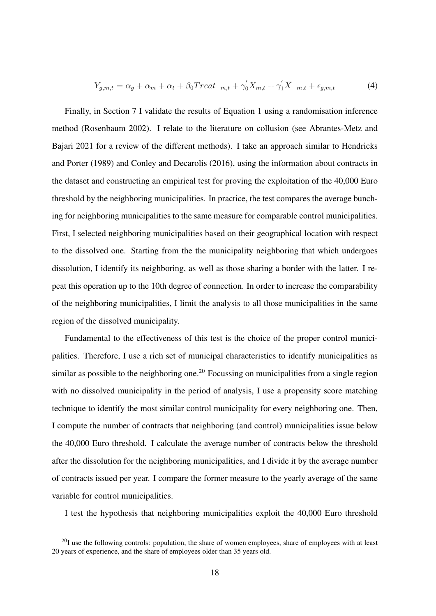$$
Y_{g,m,t} = \alpha_g + \alpha_m + \alpha_t + \beta_0 Treat_{-m,t} + \gamma'_0 X_{m,t} + \gamma'_1 \overline{X}_{-m,t} + \epsilon_{g,m,t}
$$
(4)

Finally, in Section 7 I validate the results of Equation 1 using a randomisation inference method (Rosenbaum 2002). I relate to the literature on collusion (see Abrantes-Metz and Bajari 2021 for a review of the different methods). I take an approach similar to Hendricks and Porter (1989) and Conley and Decarolis (2016), using the information about contracts in the dataset and constructing an empirical test for proving the exploitation of the 40,000 Euro threshold by the neighboring municipalities. In practice, the test compares the average bunching for neighboring municipalities to the same measure for comparable control municipalities. First, I selected neighboring municipalities based on their geographical location with respect to the dissolved one. Starting from the the municipality neighboring that which undergoes dissolution, I identify its neighboring, as well as those sharing a border with the latter. I repeat this operation up to the 10th degree of connection. In order to increase the comparability of the neighboring municipalities, I limit the analysis to all those municipalities in the same region of the dissolved municipality.

Fundamental to the effectiveness of this test is the choice of the proper control municipalities. Therefore, I use a rich set of municipal characteristics to identify municipalities as similar as possible to the neighboring one.<sup>20</sup> Focussing on municipalities from a single region with no dissolved municipality in the period of analysis, I use a propensity score matching technique to identify the most similar control municipality for every neighboring one. Then, I compute the number of contracts that neighboring (and control) municipalities issue below the 40,000 Euro threshold. I calculate the average number of contracts below the threshold after the dissolution for the neighboring municipalities, and I divide it by the average number of contracts issued per year. I compare the former measure to the yearly average of the same variable for control municipalities.

I test the hypothesis that neighboring municipalities exploit the 40,000 Euro threshold

 $20I$  use the following controls: population, the share of women employees, share of employees with at least 20 years of experience, and the share of employees older than 35 years old.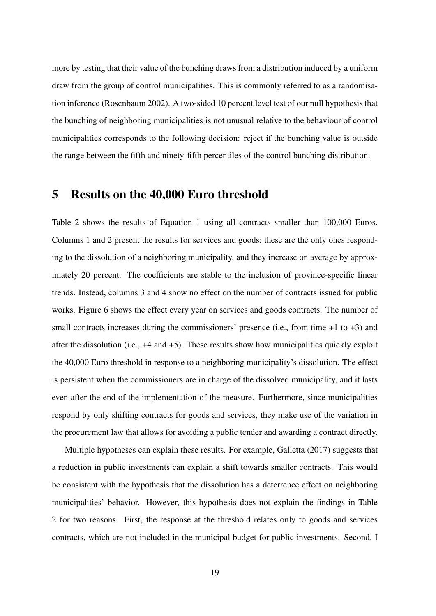more by testing that their value of the bunching draws from a distribution induced by a uniform draw from the group of control municipalities. This is commonly referred to as a randomisation inference (Rosenbaum 2002). A two-sided 10 percent level test of our null hypothesis that the bunching of neighboring municipalities is not unusual relative to the behaviour of control municipalities corresponds to the following decision: reject if the bunching value is outside the range between the fifth and ninety-fifth percentiles of the control bunching distribution.

### 5 Results on the 40,000 Euro threshold

Table 2 shows the results of Equation 1 using all contracts smaller than 100,000 Euros. Columns 1 and 2 present the results for services and goods; these are the only ones responding to the dissolution of a neighboring municipality, and they increase on average by approximately 20 percent. The coefficients are stable to the inclusion of province-specific linear trends. Instead, columns 3 and 4 show no effect on the number of contracts issued for public works. Figure 6 shows the effect every year on services and goods contracts. The number of small contracts increases during the commissioners' presence (i.e., from time  $+1$  to  $+3$ ) and after the dissolution (i.e.,  $+4$  and  $+5$ ). These results show how municipalities quickly exploit the 40,000 Euro threshold in response to a neighboring municipality's dissolution. The effect is persistent when the commissioners are in charge of the dissolved municipality, and it lasts even after the end of the implementation of the measure. Furthermore, since municipalities respond by only shifting contracts for goods and services, they make use of the variation in the procurement law that allows for avoiding a public tender and awarding a contract directly.

Multiple hypotheses can explain these results. For example, Galletta (2017) suggests that a reduction in public investments can explain a shift towards smaller contracts. This would be consistent with the hypothesis that the dissolution has a deterrence effect on neighboring municipalities' behavior. However, this hypothesis does not explain the findings in Table 2 for two reasons. First, the response at the threshold relates only to goods and services contracts, which are not included in the municipal budget for public investments. Second, I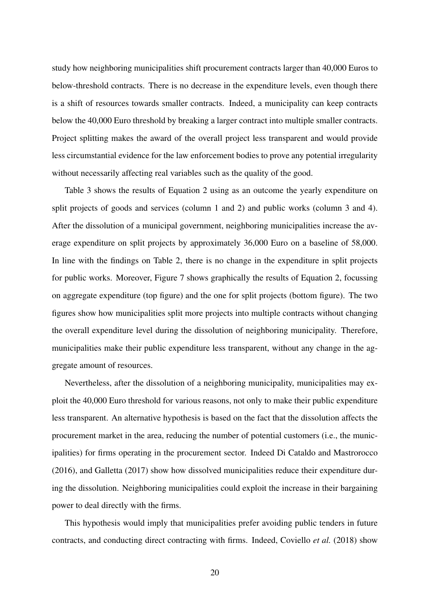study how neighboring municipalities shift procurement contracts larger than 40,000 Euros to below-threshold contracts. There is no decrease in the expenditure levels, even though there is a shift of resources towards smaller contracts. Indeed, a municipality can keep contracts below the 40,000 Euro threshold by breaking a larger contract into multiple smaller contracts. Project splitting makes the award of the overall project less transparent and would provide less circumstantial evidence for the law enforcement bodies to prove any potential irregularity without necessarily affecting real variables such as the quality of the good.

Table 3 shows the results of Equation 2 using as an outcome the yearly expenditure on split projects of goods and services (column 1 and 2) and public works (column 3 and 4). After the dissolution of a municipal government, neighboring municipalities increase the average expenditure on split projects by approximately 36,000 Euro on a baseline of 58,000. In line with the findings on Table 2, there is no change in the expenditure in split projects for public works. Moreover, Figure 7 shows graphically the results of Equation 2, focussing on aggregate expenditure (top figure) and the one for split projects (bottom figure). The two figures show how municipalities split more projects into multiple contracts without changing the overall expenditure level during the dissolution of neighboring municipality. Therefore, municipalities make their public expenditure less transparent, without any change in the aggregate amount of resources.

Nevertheless, after the dissolution of a neighboring municipality, municipalities may exploit the 40,000 Euro threshold for various reasons, not only to make their public expenditure less transparent. An alternative hypothesis is based on the fact that the dissolution affects the procurement market in the area, reducing the number of potential customers (i.e., the municipalities) for firms operating in the procurement sector. Indeed Di Cataldo and Mastrorocco (2016), and Galletta (2017) show how dissolved municipalities reduce their expenditure during the dissolution. Neighboring municipalities could exploit the increase in their bargaining power to deal directly with the firms.

This hypothesis would imply that municipalities prefer avoiding public tenders in future contracts, and conducting direct contracting with firms. Indeed, Coviello *et al.* (2018) show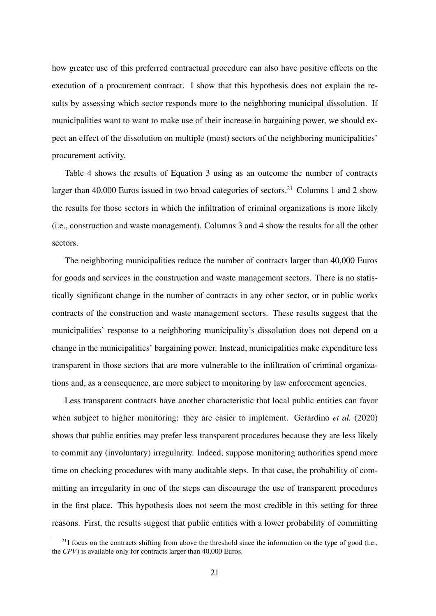how greater use of this preferred contractual procedure can also have positive effects on the execution of a procurement contract. I show that this hypothesis does not explain the results by assessing which sector responds more to the neighboring municipal dissolution. If municipalities want to want to make use of their increase in bargaining power, we should expect an effect of the dissolution on multiple (most) sectors of the neighboring municipalities' procurement activity.

Table 4 shows the results of Equation 3 using as an outcome the number of contracts larger than 40,000 Euros issued in two broad categories of sectors.<sup>21</sup> Columns 1 and 2 show the results for those sectors in which the infiltration of criminal organizations is more likely (i.e., construction and waste management). Columns 3 and 4 show the results for all the other sectors.

The neighboring municipalities reduce the number of contracts larger than 40,000 Euros for goods and services in the construction and waste management sectors. There is no statistically significant change in the number of contracts in any other sector, or in public works contracts of the construction and waste management sectors. These results suggest that the municipalities' response to a neighboring municipality's dissolution does not depend on a change in the municipalities' bargaining power. Instead, municipalities make expenditure less transparent in those sectors that are more vulnerable to the infiltration of criminal organizations and, as a consequence, are more subject to monitoring by law enforcement agencies.

Less transparent contracts have another characteristic that local public entities can favor when subject to higher monitoring: they are easier to implement. Gerardino *et al.* (2020) shows that public entities may prefer less transparent procedures because they are less likely to commit any (involuntary) irregularity. Indeed, suppose monitoring authorities spend more time on checking procedures with many auditable steps. In that case, the probability of committing an irregularity in one of the steps can discourage the use of transparent procedures in the first place. This hypothesis does not seem the most credible in this setting for three reasons. First, the results suggest that public entities with a lower probability of committing

 $21$ I focus on the contracts shifting from above the threshold since the information on the type of good (i.e., the *CPV*) is available only for contracts larger than 40,000 Euros.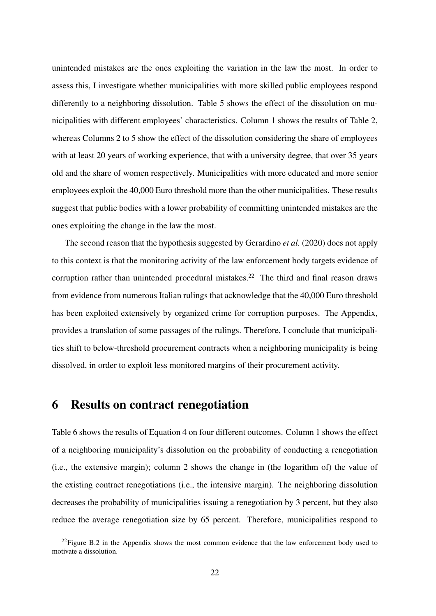unintended mistakes are the ones exploiting the variation in the law the most. In order to assess this, I investigate whether municipalities with more skilled public employees respond differently to a neighboring dissolution. Table 5 shows the effect of the dissolution on municipalities with different employees' characteristics. Column 1 shows the results of Table 2, whereas Columns 2 to 5 show the effect of the dissolution considering the share of employees with at least 20 years of working experience, that with a university degree, that over 35 years old and the share of women respectively. Municipalities with more educated and more senior employees exploit the 40,000 Euro threshold more than the other municipalities. These results suggest that public bodies with a lower probability of committing unintended mistakes are the ones exploiting the change in the law the most.

The second reason that the hypothesis suggested by Gerardino *et al.* (2020) does not apply to this context is that the monitoring activity of the law enforcement body targets evidence of corruption rather than unintended procedural mistakes.<sup>22</sup> The third and final reason draws from evidence from numerous Italian rulings that acknowledge that the 40,000 Euro threshold has been exploited extensively by organized crime for corruption purposes. The Appendix, provides a translation of some passages of the rulings. Therefore, I conclude that municipalities shift to below-threshold procurement contracts when a neighboring municipality is being dissolved, in order to exploit less monitored margins of their procurement activity.

### 6 Results on contract renegotiation

Table 6 shows the results of Equation 4 on four different outcomes. Column 1 shows the effect of a neighboring municipality's dissolution on the probability of conducting a renegotiation (i.e., the extensive margin); column 2 shows the change in (the logarithm of) the value of the existing contract renegotiations (i.e., the intensive margin). The neighboring dissolution decreases the probability of municipalities issuing a renegotiation by 3 percent, but they also reduce the average renegotiation size by 65 percent. Therefore, municipalities respond to

 $^{22}$ Figure B.2 in the Appendix shows the most common evidence that the law enforcement body used to motivate a dissolution.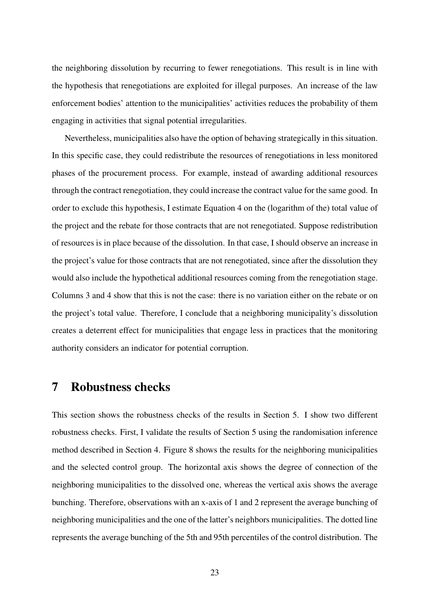the neighboring dissolution by recurring to fewer renegotiations. This result is in line with the hypothesis that renegotiations are exploited for illegal purposes. An increase of the law enforcement bodies' attention to the municipalities' activities reduces the probability of them engaging in activities that signal potential irregularities.

Nevertheless, municipalities also have the option of behaving strategically in this situation. In this specific case, they could redistribute the resources of renegotiations in less monitored phases of the procurement process. For example, instead of awarding additional resources through the contract renegotiation, they could increase the contract value for the same good. In order to exclude this hypothesis, I estimate Equation 4 on the (logarithm of the) total value of the project and the rebate for those contracts that are not renegotiated. Suppose redistribution of resources is in place because of the dissolution. In that case, I should observe an increase in the project's value for those contracts that are not renegotiated, since after the dissolution they would also include the hypothetical additional resources coming from the renegotiation stage. Columns 3 and 4 show that this is not the case: there is no variation either on the rebate or on the project's total value. Therefore, I conclude that a neighboring municipality's dissolution creates a deterrent effect for municipalities that engage less in practices that the monitoring authority considers an indicator for potential corruption.

### 7 Robustness checks

This section shows the robustness checks of the results in Section 5. I show two different robustness checks. First, I validate the results of Section 5 using the randomisation inference method described in Section 4. Figure 8 shows the results for the neighboring municipalities and the selected control group. The horizontal axis shows the degree of connection of the neighboring municipalities to the dissolved one, whereas the vertical axis shows the average bunching. Therefore, observations with an x-axis of 1 and 2 represent the average bunching of neighboring municipalities and the one of the latter's neighbors municipalities. The dotted line represents the average bunching of the 5th and 95th percentiles of the control distribution. The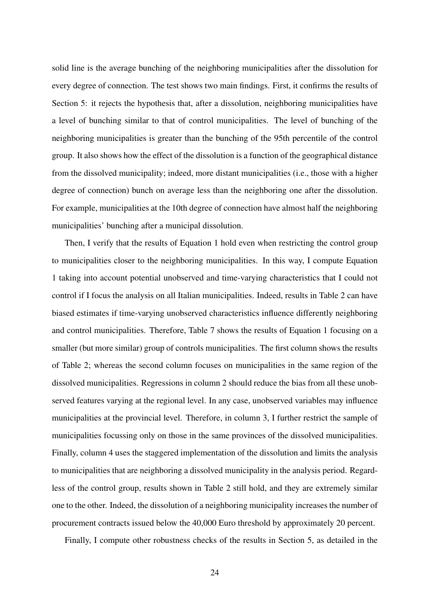solid line is the average bunching of the neighboring municipalities after the dissolution for every degree of connection. The test shows two main findings. First, it confirms the results of Section 5: it rejects the hypothesis that, after a dissolution, neighboring municipalities have a level of bunching similar to that of control municipalities. The level of bunching of the neighboring municipalities is greater than the bunching of the 95th percentile of the control group. It also shows how the effect of the dissolution is a function of the geographical distance from the dissolved municipality; indeed, more distant municipalities (i.e., those with a higher degree of connection) bunch on average less than the neighboring one after the dissolution. For example, municipalities at the 10th degree of connection have almost half the neighboring municipalities' bunching after a municipal dissolution.

Then, I verify that the results of Equation 1 hold even when restricting the control group to municipalities closer to the neighboring municipalities. In this way, I compute Equation 1 taking into account potential unobserved and time-varying characteristics that I could not control if I focus the analysis on all Italian municipalities. Indeed, results in Table 2 can have biased estimates if time-varying unobserved characteristics influence differently neighboring and control municipalities. Therefore, Table 7 shows the results of Equation 1 focusing on a smaller (but more similar) group of controls municipalities. The first column shows the results of Table 2; whereas the second column focuses on municipalities in the same region of the dissolved municipalities. Regressions in column 2 should reduce the bias from all these unobserved features varying at the regional level. In any case, unobserved variables may influence municipalities at the provincial level. Therefore, in column 3, I further restrict the sample of municipalities focussing only on those in the same provinces of the dissolved municipalities. Finally, column 4 uses the staggered implementation of the dissolution and limits the analysis to municipalities that are neighboring a dissolved municipality in the analysis period. Regardless of the control group, results shown in Table 2 still hold, and they are extremely similar one to the other. Indeed, the dissolution of a neighboring municipality increases the number of procurement contracts issued below the 40,000 Euro threshold by approximately 20 percent.

Finally, I compute other robustness checks of the results in Section 5, as detailed in the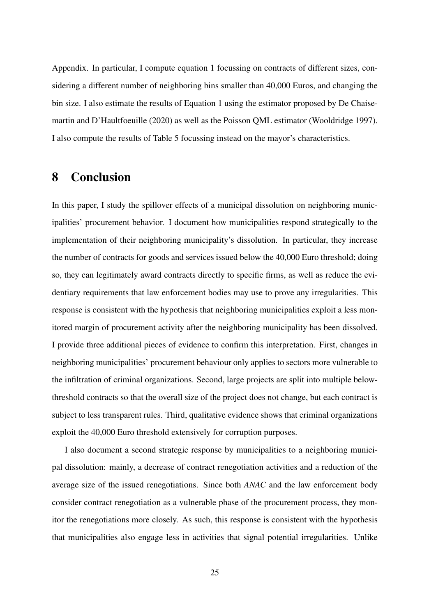Appendix. In particular, I compute equation 1 focussing on contracts of different sizes, considering a different number of neighboring bins smaller than 40,000 Euros, and changing the bin size. I also estimate the results of Equation 1 using the estimator proposed by De Chaisemartin and D'Haultfoeuille (2020) as well as the Poisson QML estimator (Wooldridge 1997). I also compute the results of Table 5 focussing instead on the mayor's characteristics.

### 8 Conclusion

In this paper, I study the spillover effects of a municipal dissolution on neighboring municipalities' procurement behavior. I document how municipalities respond strategically to the implementation of their neighboring municipality's dissolution. In particular, they increase the number of contracts for goods and services issued below the 40,000 Euro threshold; doing so, they can legitimately award contracts directly to specific firms, as well as reduce the evidentiary requirements that law enforcement bodies may use to prove any irregularities. This response is consistent with the hypothesis that neighboring municipalities exploit a less monitored margin of procurement activity after the neighboring municipality has been dissolved. I provide three additional pieces of evidence to confirm this interpretation. First, changes in neighboring municipalities' procurement behaviour only applies to sectors more vulnerable to the infiltration of criminal organizations. Second, large projects are split into multiple belowthreshold contracts so that the overall size of the project does not change, but each contract is subject to less transparent rules. Third, qualitative evidence shows that criminal organizations exploit the 40,000 Euro threshold extensively for corruption purposes.

I also document a second strategic response by municipalities to a neighboring municipal dissolution: mainly, a decrease of contract renegotiation activities and a reduction of the average size of the issued renegotiations. Since both *ANAC* and the law enforcement body consider contract renegotiation as a vulnerable phase of the procurement process, they monitor the renegotiations more closely. As such, this response is consistent with the hypothesis that municipalities also engage less in activities that signal potential irregularities. Unlike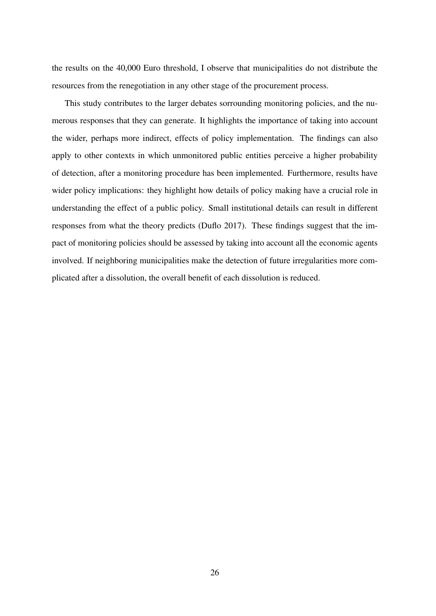the results on the 40,000 Euro threshold, I observe that municipalities do not distribute the resources from the renegotiation in any other stage of the procurement process.

This study contributes to the larger debates sorrounding monitoring policies, and the numerous responses that they can generate. It highlights the importance of taking into account the wider, perhaps more indirect, effects of policy implementation. The findings can also apply to other contexts in which unmonitored public entities perceive a higher probability of detection, after a monitoring procedure has been implemented. Furthermore, results have wider policy implications: they highlight how details of policy making have a crucial role in understanding the effect of a public policy. Small institutional details can result in different responses from what the theory predicts (Duflo 2017). These findings suggest that the impact of monitoring policies should be assessed by taking into account all the economic agents involved. If neighboring municipalities make the detection of future irregularities more complicated after a dissolution, the overall benefit of each dissolution is reduced.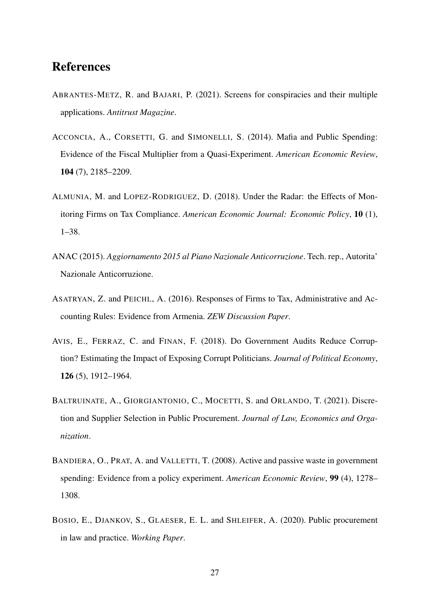### References

- ABRANTES-METZ, R. and BAJARI, P. (2021). Screens for conspiracies and their multiple applications. *Antitrust Magazine*.
- ACCONCIA, A., CORSETTI, G. and SIMONELLI, S. (2014). Mafia and Public Spending: Evidence of the Fiscal Multiplier from a Quasi-Experiment. *American Economic Review*, 104 (7), 2185–2209.
- ALMUNIA, M. and LOPEZ-RODRIGUEZ, D. (2018). Under the Radar: the Effects of Monitoring Firms on Tax Compliance. *American Economic Journal: Economic Policy*, 10 (1), 1–38.
- ANAC (2015). *Aggiornamento 2015 al Piano Nazionale Anticorruzione*. Tech. rep., Autorita' Nazionale Anticorruzione.
- ASATRYAN, Z. and PEICHL, A. (2016). Responses of Firms to Tax, Administrative and Accounting Rules: Evidence from Armenia. *ZEW Discussion Paper*.
- AVIS, E., FERRAZ, C. and FINAN, F. (2018). Do Government Audits Reduce Corruption? Estimating the Impact of Exposing Corrupt Politicians. *Journal of Political Economy*, 126 (5), 1912–1964.
- BALTRUINATE, A., GIORGIANTONIO, C., MOCETTI, S. and ORLANDO, T. (2021). Discretion and Supplier Selection in Public Procurement. *Journal of Law, Economics and Organization*.
- BANDIERA, O., PRAT, A. and VALLETTI, T. (2008). Active and passive waste in government spending: Evidence from a policy experiment. *American Economic Review*, 99 (4), 1278– 1308.
- BOSIO, E., DJANKOV, S., GLAESER, E. L. and SHLEIFER, A. (2020). Public procurement in law and practice. *Working Paper*.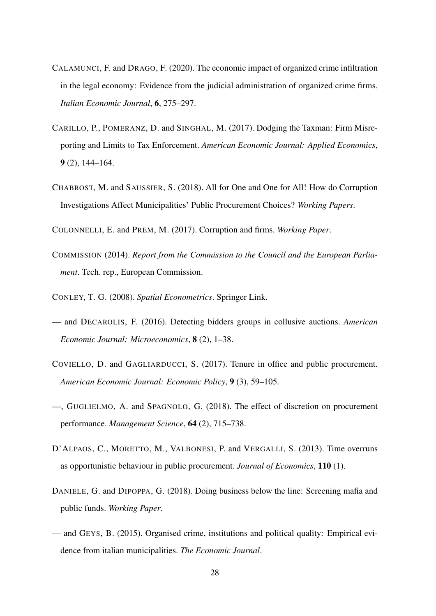- CALAMUNCI, F. and DRAGO, F. (2020). The economic impact of organized crime infiltration in the legal economy: Evidence from the judicial administration of organized crime firms. *Italian Economic Journal*, 6, 275–297.
- CARILLO, P., POMERANZ, D. and SINGHAL, M. (2017). Dodging the Taxman: Firm Misreporting and Limits to Tax Enforcement. *American Economic Journal: Applied Economics*, 9 (2), 144–164.
- CHABROST, M. and SAUSSIER, S. (2018). All for One and One for All! How do Corruption Investigations Affect Municipalities' Public Procurement Choices? *Working Papers*.
- COLONNELLI, E. and PREM, M. (2017). Corruption and firms. *Working Paper*.
- COMMISSION (2014). *Report from the Commission to the Council and the European Parliament*. Tech. rep., European Commission.
- CONLEY, T. G. (2008). *Spatial Econometrics*. Springer Link.
- and DECAROLIS, F. (2016). Detecting bidders groups in collusive auctions. *American Economic Journal: Microeconomics*, 8 (2), 1–38.
- COVIELLO, D. and GAGLIARDUCCI, S. (2017). Tenure in office and public procurement. *American Economic Journal: Economic Policy*, 9 (3), 59–105.
- —, GUGLIELMO, A. and SPAGNOLO, G. (2018). The effect of discretion on procurement performance. *Management Science*, 64 (2), 715–738.
- D'ALPAOS, C., MORETTO, M., VALBONESI, P. and VERGALLI, S. (2013). Time overruns as opportunistic behaviour in public procurement. *Journal of Economics*, 110 (1).
- DANIELE, G. and DIPOPPA, G. (2018). Doing business below the line: Screening mafia and public funds. *Working Paper*.
- and GEYS, B. (2015). Organised crime, institutions and political quality: Empirical evidence from italian municipalities. *The Economic Journal*.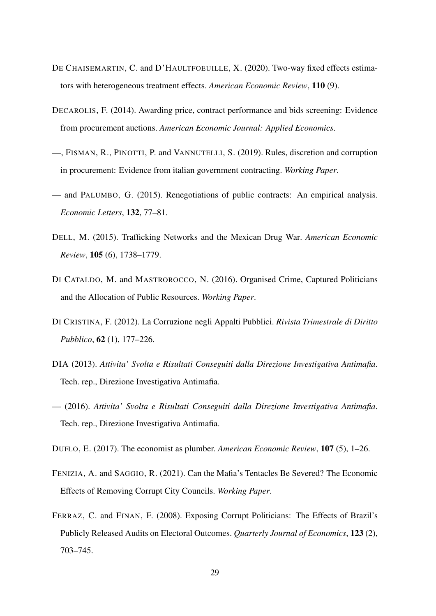- DE CHAISEMARTIN, C. and D'HAULTFOEUILLE, X. (2020). Two-way fixed effects estimators with heterogeneous treatment effects. *American Economic Review*, 110 (9).
- DECAROLIS, F. (2014). Awarding price, contract performance and bids screening: Evidence from procurement auctions. *American Economic Journal: Applied Economics*.
- —, FISMAN, R., PINOTTI, P. and VANNUTELLI, S. (2019). Rules, discretion and corruption in procurement: Evidence from italian government contracting. *Working Paper*.
- and PALUMBO, G. (2015). Renegotiations of public contracts: An empirical analysis. *Economic Letters*, 132, 77–81.
- DELL, M. (2015). Trafficking Networks and the Mexican Drug War. *American Economic Review*, 105 (6), 1738–1779.
- DI CATALDO, M. and MASTROROCCO, N. (2016). Organised Crime, Captured Politicians and the Allocation of Public Resources. *Working Paper*.
- DI CRISTINA, F. (2012). La Corruzione negli Appalti Pubblici. *Rivista Trimestrale di Diritto Pubblico*, 62 (1), 177–226.
- DIA (2013). *Attivita' Svolta e Risultati Conseguiti dalla Direzione Investigativa Antimafia*. Tech. rep., Direzione Investigativa Antimafia.
- (2016). *Attivita' Svolta e Risultati Conseguiti dalla Direzione Investigativa Antimafia*. Tech. rep., Direzione Investigativa Antimafia.
- DUFLO, E. (2017). The economist as plumber. *American Economic Review*, 107 (5), 1–26.
- FENIZIA, A. and SAGGIO, R. (2021). Can the Mafia's Tentacles Be Severed? The Economic Effects of Removing Corrupt City Councils. *Working Paper*.
- FERRAZ, C. and FINAN, F. (2008). Exposing Corrupt Politicians: The Effects of Brazil's Publicly Released Audits on Electoral Outcomes. *Quarterly Journal of Economics*, 123 (2), 703–745.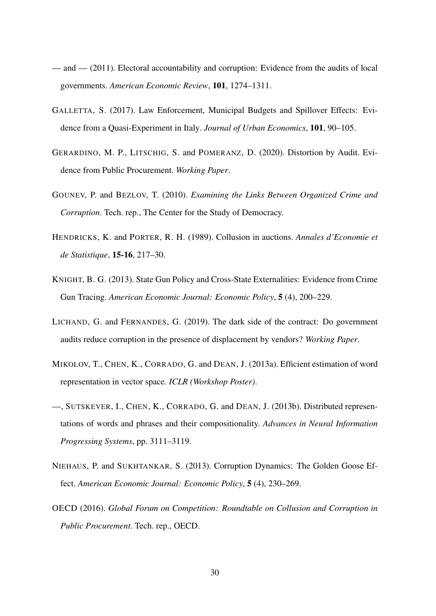- and (2011). Electoral accountability and corruption: Evidence from the audits of local governments. *American Economic Review*, 101, 1274–1311.
- GALLETTA, S. (2017). Law Enforcement, Municipal Budgets and Spillover Effects: Evidence from a Quasi-Experiment in Italy. *Journal of Urban Economics*, 101, 90–105.
- GERARDINO, M. P., LITSCHIG, S. and POMERANZ, D. (2020). Distortion by Audit. Evidence from Public Procurement. *Working Paper*.
- GOUNEV, P. and BEZLOV, T. (2010). *Examining the Links Between Organized Crime and Corruption*. Tech. rep., The Center for the Study of Democracy.
- HENDRICKS, K. and PORTER, R. H. (1989). Collusion in auctions. *Annales d'Economie et de Statistique*, 15-16, 217–30.
- KNIGHT, B. G. (2013). State Gun Policy and Cross-State Externalities: Evidence from Crime Gun Tracing. *American Economic Journal: Economic Policy*, 5 (4), 200–229.
- LICHAND, G. and FERNANDES, G. (2019). The dark side of the contract: Do government audits reduce corruption in the presence of displacement by vendors? *Working Paper*.
- MIKOLOV, T., CHEN, K., CORRADO, G. and DEAN, J. (2013a). Efficient estimation of word representation in vector space. *ICLR (Workshop Poster)*.
- —, SUTSKEVER, I., CHEN, K., CORRADO, G. and DEAN, J. (2013b). Distributed representations of words and phrases and their compositionality. *Advances in Neural Information Progressing Systems*, pp. 3111–3119.
- NIEHAUS, P. and SUKHTANKAR, S. (2013). Corruption Dynamics: The Golden Goose Effect. *American Economic Journal: Economic Policy*, 5 (4), 230–269.
- OECD (2016). *Global Forum on Competition: Roundtable on Collusion and Corruption in Public Procurement*. Tech. rep., OECD.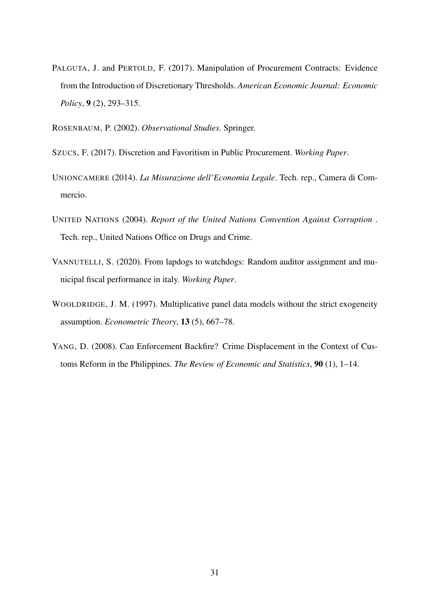- PALGUTA, J. and PERTOLD, F. (2017). Manipulation of Procurement Contracts: Evidence from the Introduction of Discretionary Thresholds. *American Economic Journal: Economic Policy*, 9 (2), 293–315.
- ROSENBAUM, P. (2002). *Observational Studies*. Springer.
- SZUCS, F. (2017). Discretion and Favoritism in Public Procurement. *Working Paper*.
- UNIONCAMERE (2014). *La Misurazione dell'Economia Legale*. Tech. rep., Camera di Commercio.
- UNITED NATIONS (2004). *Report of the United Nations Convention Against Corruption* . Tech. rep., United Nations Office on Drugs and Crime.
- VANNUTELLI, S. (2020). From lapdogs to watchdogs: Random auditor assignment and municipal fiscal performance in italy. *Working Paper*.
- WOOLDRIDGE, J. M. (1997). Multiplicative panel data models without the strict exogeneity assumption. *Econometric Theory*, 13 (5), 667–78.
- YANG, D. (2008). Can Enforcement Backfire? Crime Displacement in the Context of Customs Reform in the Philippines. *The Review of Economic and Statistics*, 90 (1), 1–14.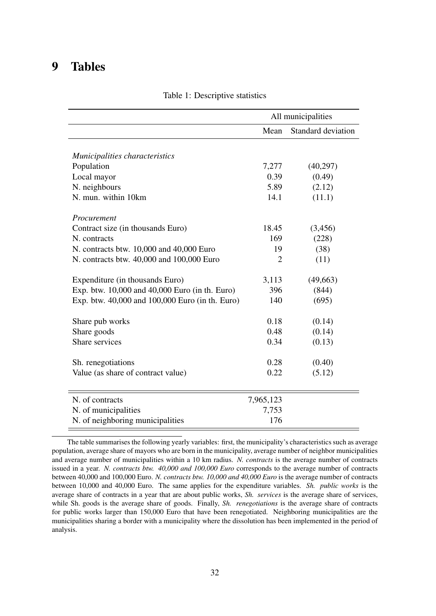### 9 Tables

|                                                 | All municipalities |                    |  |
|-------------------------------------------------|--------------------|--------------------|--|
|                                                 | Mean               | Standard deviation |  |
| Municipalities characteristics                  |                    |                    |  |
| Population                                      | 7,277              | (40,297)           |  |
| Local mayor                                     | 0.39               | (0.49)             |  |
| N. neighbours                                   | 5.89               | (2.12)             |  |
| N. mun. within 10km                             | 14.1               | (11.1)             |  |
| Procurement                                     |                    |                    |  |
| Contract size (in thousands Euro)               | 18.45              | (3,456)            |  |
| N. contracts                                    | 169                | (228)              |  |
| N. contracts btw. 10,000 and 40,000 Euro        | 19                 | (38)               |  |
| N. contracts btw. 40,000 and 100,000 Euro       | $\overline{2}$     | (11)               |  |
| Expenditure (in thousands Euro)                 | 3,113              | (49,663)           |  |
| Exp. btw. 10,000 and 40,000 Euro (in th. Euro)  | 396                | (844)              |  |
| Exp. btw. 40,000 and 100,000 Euro (in th. Euro) | 140                | (695)              |  |
| Share pub works                                 | 0.18               | (0.14)             |  |
| Share goods                                     | 0.48               | (0.14)             |  |
| Share services                                  | 0.34               | (0.13)             |  |
| Sh. renegotiations                              | 0.28               | (0.40)             |  |
| Value (as share of contract value)              | 0.22               | (5.12)             |  |
| N. of contracts                                 | 7,965,123          |                    |  |
| N. of municipalities                            | 7,753              |                    |  |
| N. of neighboring municipalities                | 176                |                    |  |

Table 1: Descriptive statistics

The table summarises the following yearly variables: first, the municipality's characteristics such as average population, average share of mayors who are born in the municipality, average number of neighbor municipalities and average number of municipalities within a 10 km radius. *N. contracts* is the average number of contracts issued in a year. *N. contracts btw. 40,000 and 100,000 Euro* corresponds to the average number of contracts between 40,000 and 100,000 Euro. *N. contracts btw. 10,000 and 40,000 Euro* is the average number of contracts between 10,000 and 40,000 Euro. The same applies for the expenditure variables. *Sh. public works* is the average share of contracts in a year that are about public works, *Sh. services* is the average share of services, while Sh. goods is the average share of goods. Finally, *Sh. renegotiations* is the average share of contracts for public works larger than 150,000 Euro that have been renegotiated. Neighboring municipalities are the municipalities sharing a border with a municipality where the dissolution has been implemented in the period of analysis.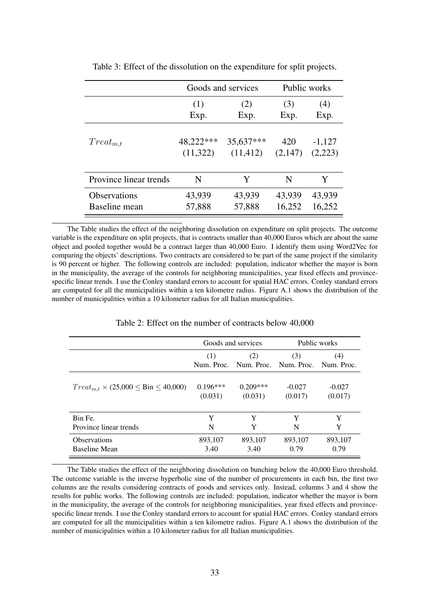|                        | Goods and services |           |         | Public works |
|------------------------|--------------------|-----------|---------|--------------|
|                        | (1)                | (2)       | (3)     | (4)          |
|                        | Exp.               | Exp.      | Exp.    | Exp.         |
| $Treat_{m,t}$          | 48,222***          | 35,637*** | 420     | $-1,127$     |
|                        | (11,322)           | (11, 412) | (2,147) | (2,223)      |
| Province linear trends | N                  | Y         | N       | Y            |
| Observations           | 43,939             | 43,939    | 43,939  | 43,939       |
| Baseline mean          | 57,888             | 57,888    | 16,252  | 16,252       |

Table 3: Effect of the dissolution on the expenditure for split projects.

The Table studies the effect of the neighboring dissolution on expenditure on split projects. The outcome variable is the expenditure on split projects, that is contracts smaller than 40,000 Euros which are about the same object and pooled together would be a contract larger than 40,000 Euro. I identify them using Word2Vec for comparing the objects' descriptions. Two contracts are considered to be part of the same project if the similarity is 90 percent or higher. The following controls are included: population, indicator whether the mayor is born in the municipality, the average of the controls for neighboring municipalities, year fixed effects and provincespecific linear trends. I use the Conley standard errors to account for spatial HAC errors. Conley standard errors are computed for all the municipalities within a ten kilometre radius. Figure A.1 shows the distribution of the number of municipalities within a 10 kilometer radius for all Italian municipalities.

|                                                    | Goods and services |            |                                                    | Public works |
|----------------------------------------------------|--------------------|------------|----------------------------------------------------|--------------|
|                                                    | (1)                | (2)        | (3)<br>Num, Proc. Num, Proc. Num, Proc. Num, Proc. | (4)          |
| $Treat_{m,t} \times (25,000 \leq Bin \leq 40,000)$ | $0.196***$         | $0.209***$ | $-0.027$                                           | $-0.027$     |
|                                                    | (0.031)            | (0.031)    | (0.017)                                            | (0.017)      |
| Bin Fe.                                            | Y                  | Y          | Y                                                  | Y            |
| Province linear trends                             | N                  | Y          | N                                                  | Y            |
| <b>Observations</b>                                | 893,107            | 893,107    | 893,107                                            | 893,107      |
| Baseline Mean                                      | 3.40               | 3.40       | 0.79                                               | 0.79         |

Table 2: Effect on the number of contracts below 40,000

The Table studies the effect of the neighboring dissolution on bunching below the 40,000 Euro threshold. The outcome variable is the inverse hyperbolic sine of the number of procurements in each bin, the first two columns are the results considering contracts of goods and services only. Instead, columns 3 and 4 show the results for public works. The following controls are included: population, indicator whether the mayor is born in the municipality, the average of the controls for neighboring municipalities, year fixed effects and provincespecific linear trends. I use the Conley standard errors to account for spatial HAC errors. Conley standard errors are computed for all the municipalities within a ten kilometre radius. Figure A.1 shows the distribution of the number of municipalities within a 10 kilometer radius for all Italian municipalities.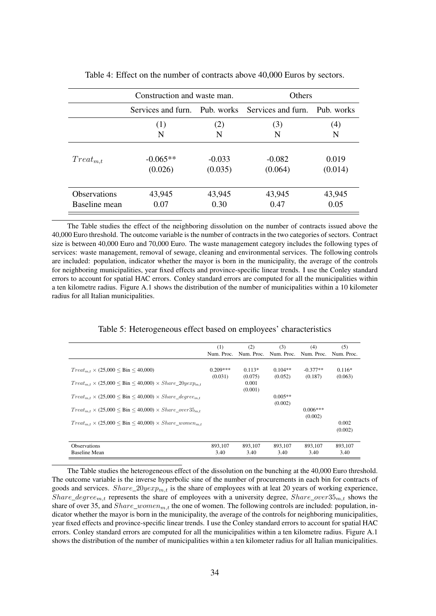|                     | Construction and waste man. |                                                  | Others   |                  |
|---------------------|-----------------------------|--------------------------------------------------|----------|------------------|
|                     |                             | Services and furn. Pub. works Services and furn. |          | Pub. works       |
|                     | (1)                         | (2)                                              | (3)      | $\left(4\right)$ |
|                     | N                           | N                                                | N        | N                |
| $Treat_{m,t}$       | $-0.065**$                  | $-0.033$                                         | $-0.082$ | 0.019            |
|                     | (0.026)                     | (0.035)                                          | (0.064)  | (0.014)          |
| <b>Observations</b> | 43,945                      | 43,945                                           | 43,945   | 43,945           |
| Baseline mean       | 0.07                        | 0.30                                             | 0.47     | 0.05             |

Table 4: Effect on the number of contracts above 40,000 Euros by sectors.

The Table studies the effect of the neighboring dissolution on the number of contracts issued above the 40,000 Euro threshold. The outcome variable is the number of contracts in the two categories of sectors. Contract size is between 40,000 Euro and 70,000 Euro. The waste management category includes the following types of services: waste management, removal of sewage, cleaning and environmental services. The following controls are included: population, indicator whether the mayor is born in the municipality, the average of the controls for neighboring municipalities, year fixed effects and province-specific linear trends. I use the Conley standard errors to account for spatial HAC errors. Conley standard errors are computed for all the municipalities within a ten kilometre radius. Figure A.1 shows the distribution of the number of municipalities within a 10 kilometer radius for all Italian municipalities.

|                                                                                                                                                                | (1)        | (2)              | (3)        | (4)                   | (5)              |
|----------------------------------------------------------------------------------------------------------------------------------------------------------------|------------|------------------|------------|-----------------------|------------------|
|                                                                                                                                                                | Num. Proc. | Num. Proc.       | Num. Proc. | Num. Proc.            | Num. Proc.       |
| $Treat_{m.t} \times (25,000 \leq Bin \leq 40,000)$                                                                                                             | $0.209***$ | $0.113*$         | $0.104**$  | $-0.377**$            | $0.116*$         |
|                                                                                                                                                                | (0.031)    | (0.075)          | (0.052)    | (0.187)               | (0.063)          |
| $Treat_{m,t} \times (25,000 \leq Bin \leq 40,000) \times Share\_20yexp_{m,t}$<br>$Treat_{m,t} \times (25,000 \leq Bin \leq 40,000) \times Share\_degree_{m,t}$ |            | 0.001<br>(0.001) | $0.005**$  |                       |                  |
| $Treat_{m,t} \times (25,000 \leq Bin \leq 40,000) \times Share\_over35_{m,t}$                                                                                  |            |                  | (0.002)    | $0.006***$<br>(0.002) |                  |
| $Treat_{m.t} \times (25,000 \leq Bin \leq 40,000) \times Share\_women_{m.t}$                                                                                   |            |                  |            |                       | 0.002<br>(0.002) |
| <b>Observations</b>                                                                                                                                            | 893.107    | 893.107          | 893.107    | 893.107               | 893,107          |
| <b>Baseline Mean</b>                                                                                                                                           | 3.40       | 3.40             | 3.40       | 3.40                  | 3.40             |

The Table studies the heterogeneous effect of the dissolution on the bunching at the 40,000 Euro threshold. The outcome variable is the inverse hyperbolic sine of the number of procurements in each bin for contracts of goods and services.  $Share\_20yexp_{m,t}$  is the share of employees with at leat 20 years of working experience, Share\_degree<sub>m,t</sub> represents the share of employees with a university degree, Share\_over35<sub>m,t</sub> shows the share of over 35, and  $Share\_woman_{m,t}$  the one of women. The following controls are included: population, indicator whether the mayor is born in the municipality, the average of the controls for neighboring municipalities, year fixed effects and province-specific linear trends. I use the Conley standard errors to account for spatial HAC errors. Conley standard errors are computed for all the municipalities within a ten kilometre radius. Figure A.1 shows the distribution of the number of municipalities within a ten kilometer radius for all Italian municipalities.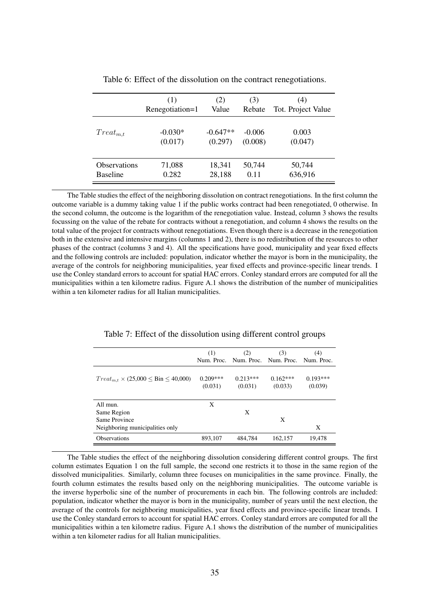|                     | (1)             | (2)        | (3)      | (4)                |
|---------------------|-----------------|------------|----------|--------------------|
|                     | Renegotiation=1 | Value      | Rebate   | Tot. Project Value |
| $Treat_{m.t}$       | $-0.030*$       | $-0.647**$ | $-0.006$ | 0.003              |
|                     | (0.017)         | (0.297)    | (0.008)  | (0.047)            |
| <b>Observations</b> | 71,088          | 18,341     | 50,744   | 50,744             |
| <b>Baseline</b>     | 0.282           | 28,188     | 0.11     | 636,916            |

Table 6: Effect of the dissolution on the contract renegotiations.

The Table studies the effect of the neighboring dissolution on contract renegotiations. In the first column the outcome variable is a dummy taking value 1 if the public works contract had been renegotiated, 0 otherwise. In the second column, the outcome is the logarithm of the renegotiation value. Instead, column 3 shows the results focussing on the value of the rebate for contracts without a renegotiation, and column 4 shows the results on the total value of the project for contracts without renegotiations. Even though there is a decrease in the renegotiation both in the extensive and intensive margins (columns 1 and 2), there is no redistribution of the resources to other phases of the contract (columns 3 and 4). All the specifications have good, municipality and year fixed effects and the following controls are included: population, indicator whether the mayor is born in the municipality, the average of the controls for neighboring municipalities, year fixed effects and province-specific linear trends. I use the Conley standard errors to account for spatial HAC errors. Conley standard errors are computed for all the municipalities within a ten kilometre radius. Figure A.1 shows the distribution of the number of municipalities within a ten kilometer radius for all Italian municipalities.

|                                                    | (1)                   | (2)                                         | (3)                   | (4)                   |
|----------------------------------------------------|-----------------------|---------------------------------------------|-----------------------|-----------------------|
|                                                    |                       | Num. Proc. Num. Proc. Num. Proc. Num. Proc. |                       |                       |
| $Treat_{m.t} \times (25,000 \leq Bin \leq 40,000)$ | $0.209***$<br>(0.031) | $0.213***$<br>(0.031)                       | $0.162***$<br>(0.033) | $0.193***$<br>(0.039) |
| All mun.                                           | X                     |                                             |                       |                       |
| Same Region                                        |                       | X                                           |                       |                       |
| Same Province                                      |                       |                                             | X                     |                       |
| Neighboring municipalities only                    |                       |                                             |                       | X                     |
| <b>Observations</b>                                | 893,107               | 484,784                                     | 162,157               | 19,478                |

Table 7: Effect of the dissolution using different control groups

The Table studies the effect of the neighboring dissolution considering different control groups. The first column estimates Equation 1 on the full sample, the second one restricts it to those in the same region of the dissolved municipalities. Similarly, column three focuses on municipalities in the same province. Finally, the fourth column estimates the results based only on the neighboring municipalities. The outcome variable is the inverse hyperbolic sine of the number of procurements in each bin. The following controls are included: population, indicator whether the mayor is born in the municipality, number of years until the next election, the average of the controls for neighboring municipalities, year fixed effects and province-specific linear trends. I use the Conley standard errors to account for spatial HAC errors. Conley standard errors are computed for all the municipalities within a ten kilometre radius. Figure A.1 shows the distribution of the number of municipalities within a ten kilometer radius for all Italian municipalities.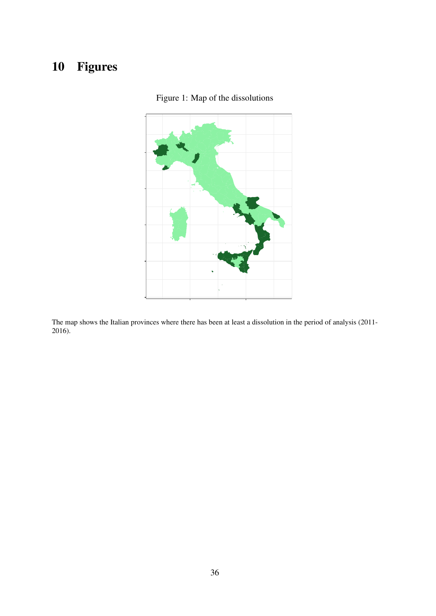## 10 Figures



Figure 1: Map of the dissolutions

The map shows the Italian provinces where there has been at least a dissolution in the period of analysis (2011- 2016).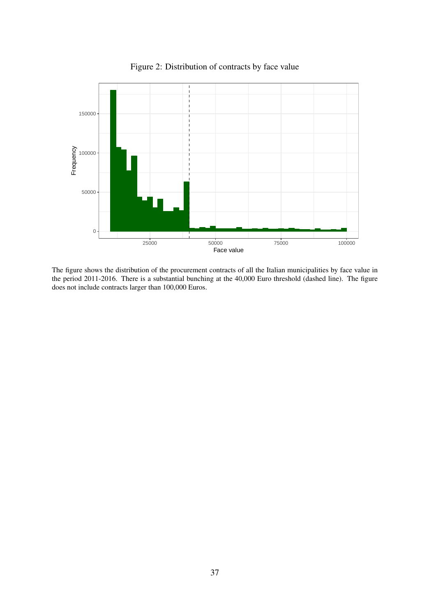

Figure 2: Distribution of contracts by face value

The figure shows the distribution of the procurement contracts of all the Italian municipalities by face value in the period 2011-2016. There is a substantial bunching at the 40,000 Euro threshold (dashed line). The figure does not include contracts larger than 100,000 Euros.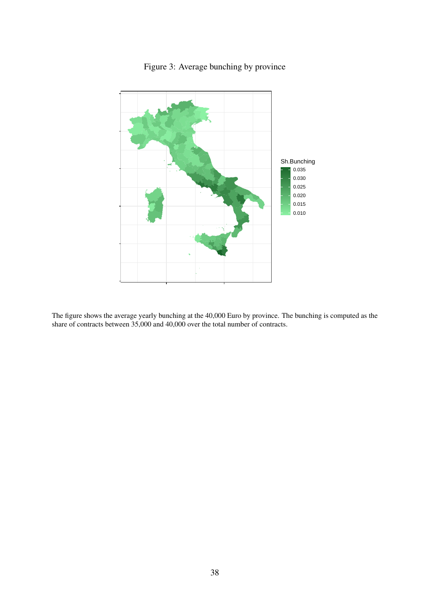

#### Figure 3: Average bunching by province

The figure shows the average yearly bunching at the 40,000 Euro by province. The bunching is computed as the share of contracts between 35,000 and 40,000 over the total number of contracts.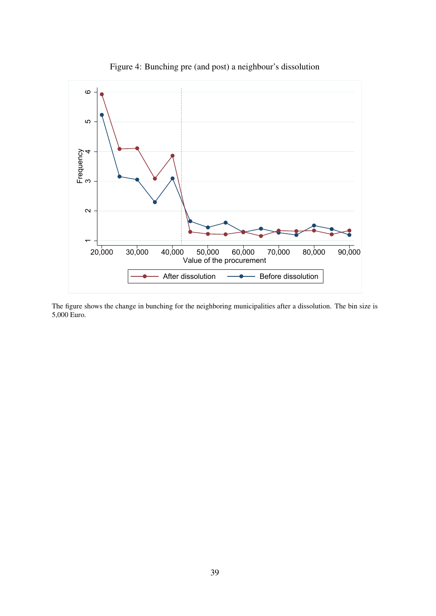

Figure 4: Bunching pre (and post) a neighbour's dissolution

The figure shows the change in bunching for the neighboring municipalities after a dissolution. The bin size is 5,000 Euro.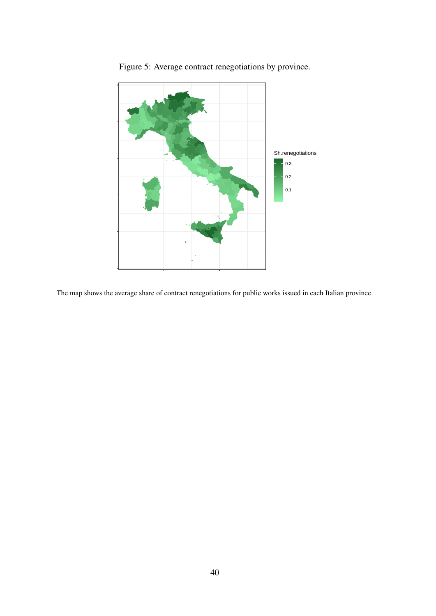

Figure 5: Average contract renegotiations by province.

The map shows the average share of contract renegotiations for public works issued in each Italian province.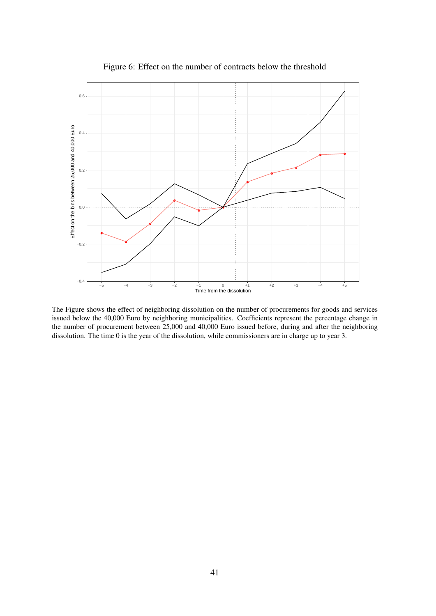

Figure 6: Effect on the number of contracts below the threshold

The Figure shows the effect of neighboring dissolution on the number of procurements for goods and services issued below the 40,000 Euro by neighboring municipalities. Coefficients represent the percentage change in the number of procurement between 25,000 and 40,000 Euro issued before, during and after the neighboring dissolution. The time 0 is the year of the dissolution, while commissioners are in charge up to year 3.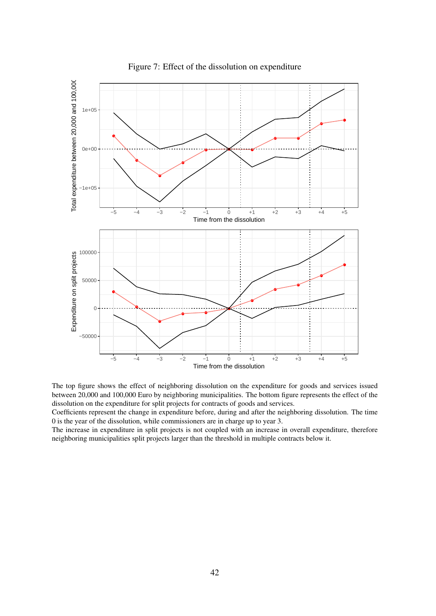

Figure 7: Effect of the dissolution on expenditure



Coefficients represent the change in expenditure before, during and after the neighboring dissolution. The time 0 is the year of the dissolution, while commissioners are in charge up to year 3.

The increase in expenditure in split projects is not coupled with an increase in overall expenditure, therefore neighboring municipalities split projects larger than the threshold in multiple contracts below it.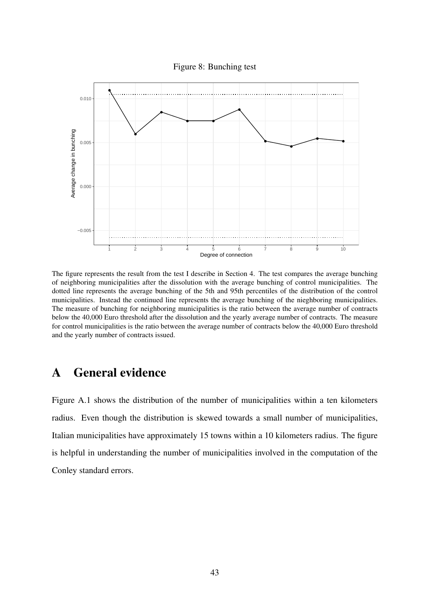Figure 8: Bunching test



The figure represents the result from the test I describe in Section 4. The test compares the average bunching of neighboring municipalities after the dissolution with the average bunching of control municipalities. The dotted line represents the average bunching of the 5th and 95th percentiles of the distribution of the control municipalities. Instead the continued line represents the average bunching of the nieghboring municipalities. The measure of bunching for neighboring municipalities is the ratio between the average number of contracts below the 40,000 Euro threshold after the dissolution and the yearly average number of contracts. The measure for control municipalities is the ratio between the average number of contracts below the 40,000 Euro threshold and the yearly number of contracts issued.

### A General evidence

Figure A.1 shows the distribution of the number of municipalities within a ten kilometers radius. Even though the distribution is skewed towards a small number of municipalities, Italian municipalities have approximately 15 towns within a 10 kilometers radius. The figure is helpful in understanding the number of municipalities involved in the computation of the Conley standard errors.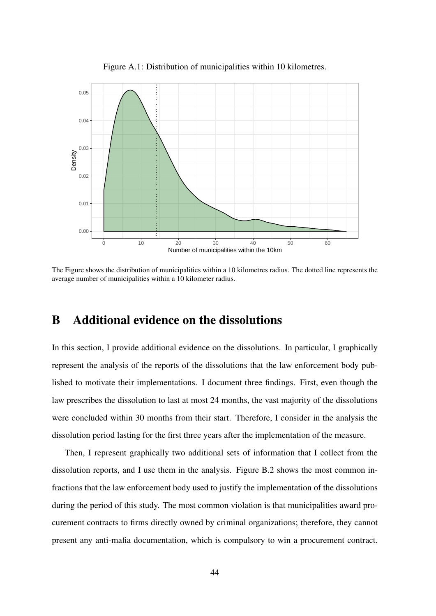

Figure A.1: Distribution of municipalities within 10 kilometres.

The Figure shows the distribution of municipalities within a 10 kilometres radius. The dotted line represents the average number of municipalities within a 10 kilometer radius.

### B Additional evidence on the dissolutions

In this section, I provide additional evidence on the dissolutions. In particular, I graphically represent the analysis of the reports of the dissolutions that the law enforcement body published to motivate their implementations. I document three findings. First, even though the law prescribes the dissolution to last at most 24 months, the vast majority of the dissolutions were concluded within 30 months from their start. Therefore, I consider in the analysis the dissolution period lasting for the first three years after the implementation of the measure.

Then, I represent graphically two additional sets of information that I collect from the dissolution reports, and I use them in the analysis. Figure B.2 shows the most common infractions that the law enforcement body used to justify the implementation of the dissolutions during the period of this study. The most common violation is that municipalities award procurement contracts to firms directly owned by criminal organizations; therefore, they cannot present any anti-mafia documentation, which is compulsory to win a procurement contract.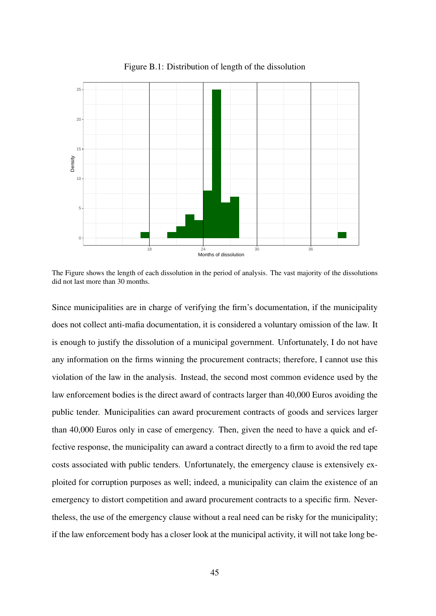

Figure B.1: Distribution of length of the dissolution

The Figure shows the length of each dissolution in the period of analysis. The vast majority of the dissolutions did not last more than 30 months.

Since municipalities are in charge of verifying the firm's documentation, if the municipality does not collect anti-mafia documentation, it is considered a voluntary omission of the law. It is enough to justify the dissolution of a municipal government. Unfortunately, I do not have any information on the firms winning the procurement contracts; therefore, I cannot use this violation of the law in the analysis. Instead, the second most common evidence used by the law enforcement bodies is the direct award of contracts larger than 40,000 Euros avoiding the public tender. Municipalities can award procurement contracts of goods and services larger than 40,000 Euros only in case of emergency. Then, given the need to have a quick and effective response, the municipality can award a contract directly to a firm to avoid the red tape costs associated with public tenders. Unfortunately, the emergency clause is extensively exploited for corruption purposes as well; indeed, a municipality can claim the existence of an emergency to distort competition and award procurement contracts to a specific firm. Nevertheless, the use of the emergency clause without a real need can be risky for the municipality; if the law enforcement body has a closer look at the municipal activity, it will not take long be-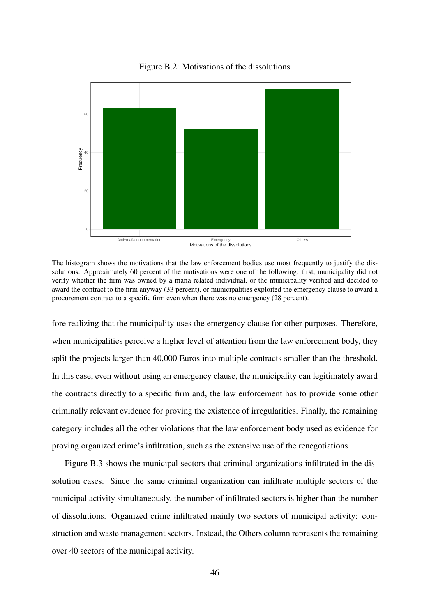

Figure B.2: Motivations of the dissolutions

The histogram shows the motivations that the law enforcement bodies use most frequently to justify the dissolutions. Approximately 60 percent of the motivations were one of the following: first, municipality did not verify whether the firm was owned by a mafia related individual, or the municipality verified and decided to award the contract to the firm anyway (33 percent), or municipalities exploited the emergency clause to award a procurement contract to a specific firm even when there was no emergency (28 percent).

fore realizing that the municipality uses the emergency clause for other purposes. Therefore, when municipalities perceive a higher level of attention from the law enforcement body, they split the projects larger than 40,000 Euros into multiple contracts smaller than the threshold. In this case, even without using an emergency clause, the municipality can legitimately award the contracts directly to a specific firm and, the law enforcement has to provide some other criminally relevant evidence for proving the existence of irregularities. Finally, the remaining category includes all the other violations that the law enforcement body used as evidence for proving organized crime's infiltration, such as the extensive use of the renegotiations.

Figure B.3 shows the municipal sectors that criminal organizations infiltrated in the dissolution cases. Since the same criminal organization can infiltrate multiple sectors of the municipal activity simultaneously, the number of infiltrated sectors is higher than the number of dissolutions. Organized crime infiltrated mainly two sectors of municipal activity: construction and waste management sectors. Instead, the Others column represents the remaining over 40 sectors of the municipal activity.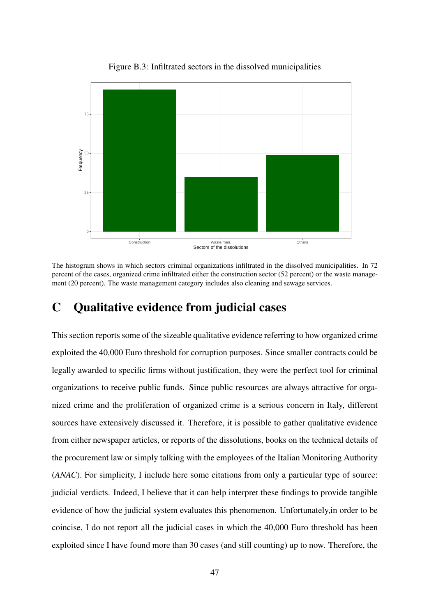

Figure B.3: Infiltrated sectors in the dissolved municipalities

The histogram shows in which sectors criminal organizations infiltrated in the dissolved municipalities. In 72 percent of the cases, organized crime infiltrated either the construction sector (52 percent) or the waste management (20 percent). The waste management category includes also cleaning and sewage services.

### C Qualitative evidence from judicial cases

This section reports some of the sizeable qualitative evidence referring to how organized crime exploited the 40,000 Euro threshold for corruption purposes. Since smaller contracts could be legally awarded to specific firms without justification, they were the perfect tool for criminal organizations to receive public funds. Since public resources are always attractive for organized crime and the proliferation of organized crime is a serious concern in Italy, different sources have extensively discussed it. Therefore, it is possible to gather qualitative evidence from either newspaper articles, or reports of the dissolutions, books on the technical details of the procurement law or simply talking with the employees of the Italian Monitoring Authority (*ANAC*). For simplicity, I include here some citations from only a particular type of source: judicial verdicts. Indeed, I believe that it can help interpret these findings to provide tangible evidence of how the judicial system evaluates this phenomenon. Unfortunately,in order to be coincise, I do not report all the judicial cases in which the 40,000 Euro threshold has been exploited since I have found more than 30 cases (and still counting) up to now. Therefore, the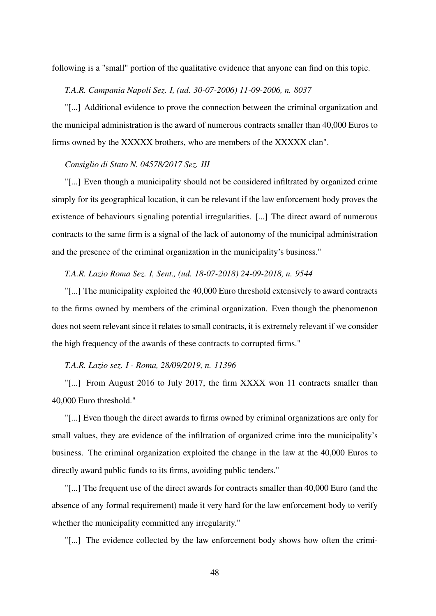following is a "small" portion of the qualitative evidence that anyone can find on this topic.

*T.A.R. Campania Napoli Sez. I, (ud. 30-07-2006) 11-09-2006, n. 8037*

"[...] Additional evidence to prove the connection between the criminal organization and the municipal administration is the award of numerous contracts smaller than 40,000 Euros to firms owned by the XXXXX brothers, who are members of the XXXXX clan".

#### *Consiglio di Stato N. 04578/2017 Sez. III*

"[...] Even though a municipality should not be considered infiltrated by organized crime simply for its geographical location, it can be relevant if the law enforcement body proves the existence of behaviours signaling potential irregularities. [...] The direct award of numerous contracts to the same firm is a signal of the lack of autonomy of the municipal administration and the presence of the criminal organization in the municipality's business."

#### *T.A.R. Lazio Roma Sez. I, Sent., (ud. 18-07-2018) 24-09-2018, n. 9544*

"[...] The municipality exploited the 40,000 Euro threshold extensively to award contracts to the firms owned by members of the criminal organization. Even though the phenomenon does not seem relevant since it relates to small contracts, it is extremely relevant if we consider the high frequency of the awards of these contracts to corrupted firms."

#### *T.A.R. Lazio sez. I - Roma, 28/09/2019, n. 11396*

"[...] From August 2016 to July 2017, the firm XXXX won 11 contracts smaller than 40,000 Euro threshold."

"[...] Even though the direct awards to firms owned by criminal organizations are only for small values, they are evidence of the infiltration of organized crime into the municipality's business. The criminal organization exploited the change in the law at the 40,000 Euros to directly award public funds to its firms, avoiding public tenders."

"[...] The frequent use of the direct awards for contracts smaller than 40,000 Euro (and the absence of any formal requirement) made it very hard for the law enforcement body to verify whether the municipality committed any irregularity."

"[...] The evidence collected by the law enforcement body shows how often the crimi-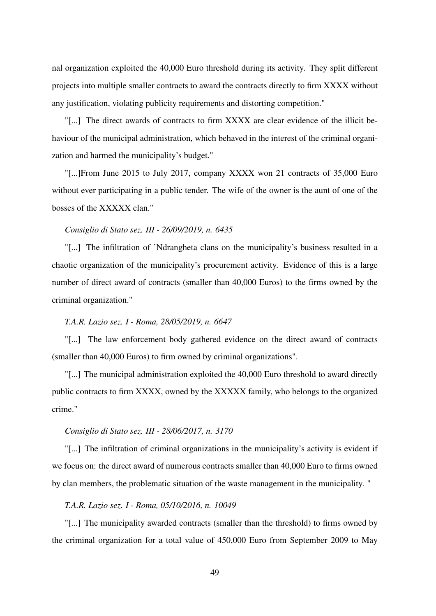nal organization exploited the 40,000 Euro threshold during its activity. They split different projects into multiple smaller contracts to award the contracts directly to firm XXXX without any justification, violating publicity requirements and distorting competition."

"[...] The direct awards of contracts to firm XXXX are clear evidence of the illicit behaviour of the municipal administration, which behaved in the interest of the criminal organization and harmed the municipality's budget."

"[...]From June 2015 to July 2017, company XXXX won 21 contracts of 35,000 Euro without ever participating in a public tender. The wife of the owner is the aunt of one of the bosses of the XXXXX clan."

#### *Consiglio di Stato sez. III - 26/09/2019, n. 6435*

"[...] The infiltration of 'Ndrangheta clans on the municipality's business resulted in a chaotic organization of the municipality's procurement activity. Evidence of this is a large number of direct award of contracts (smaller than 40,000 Euros) to the firms owned by the criminal organization."

#### *T.A.R. Lazio sez. I - Roma, 28/05/2019, n. 6647*

"[...] The law enforcement body gathered evidence on the direct award of contracts (smaller than 40,000 Euros) to firm owned by criminal organizations".

"[...] The municipal administration exploited the 40,000 Euro threshold to award directly public contracts to firm XXXX, owned by the XXXXX family, who belongs to the organized crime."

#### *Consiglio di Stato sez. III - 28/06/2017, n. 3170*

"[...] The infiltration of criminal organizations in the municipality's activity is evident if we focus on: the direct award of numerous contracts smaller than 40,000 Euro to firms owned by clan members, the problematic situation of the waste management in the municipality. "

#### *T.A.R. Lazio sez. I - Roma, 05/10/2016, n. 10049*

"[...] The municipality awarded contracts (smaller than the threshold) to firms owned by the criminal organization for a total value of 450,000 Euro from September 2009 to May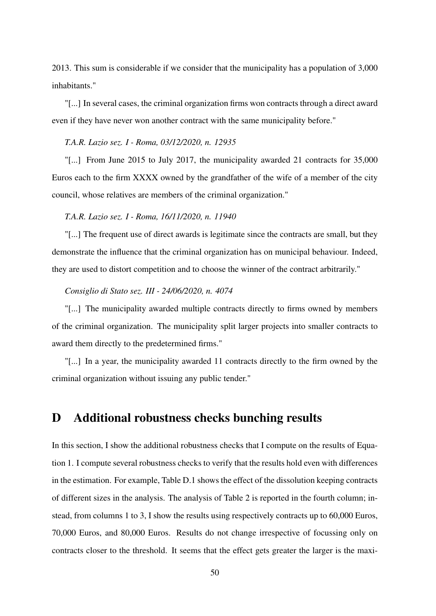2013. This sum is considerable if we consider that the municipality has a population of 3,000 inhabitants."

"[...] In several cases, the criminal organization firms won contracts through a direct award even if they have never won another contract with the same municipality before."

#### *T.A.R. Lazio sez. I - Roma, 03/12/2020, n. 12935*

"[...] From June 2015 to July 2017, the municipality awarded 21 contracts for 35,000 Euros each to the firm XXXX owned by the grandfather of the wife of a member of the city council, whose relatives are members of the criminal organization."

#### *T.A.R. Lazio sez. I - Roma, 16/11/2020, n. 11940*

"[...] The frequent use of direct awards is legitimate since the contracts are small, but they demonstrate the influence that the criminal organization has on municipal behaviour. Indeed, they are used to distort competition and to choose the winner of the contract arbitrarily."

#### *Consiglio di Stato sez. III - 24/06/2020, n. 4074*

"[...] The municipality awarded multiple contracts directly to firms owned by members of the criminal organization. The municipality split larger projects into smaller contracts to award them directly to the predetermined firms."

"[...] In a year, the municipality awarded 11 contracts directly to the firm owned by the criminal organization without issuing any public tender."

#### D Additional robustness checks bunching results

In this section, I show the additional robustness checks that I compute on the results of Equation 1. I compute several robustness checks to verify that the results hold even with differences in the estimation. For example, Table D.1 shows the effect of the dissolution keeping contracts of different sizes in the analysis. The analysis of Table 2 is reported in the fourth column; instead, from columns 1 to 3, I show the results using respectively contracts up to 60,000 Euros, 70,000 Euros, and 80,000 Euros. Results do not change irrespective of focussing only on contracts closer to the threshold. It seems that the effect gets greater the larger is the maxi-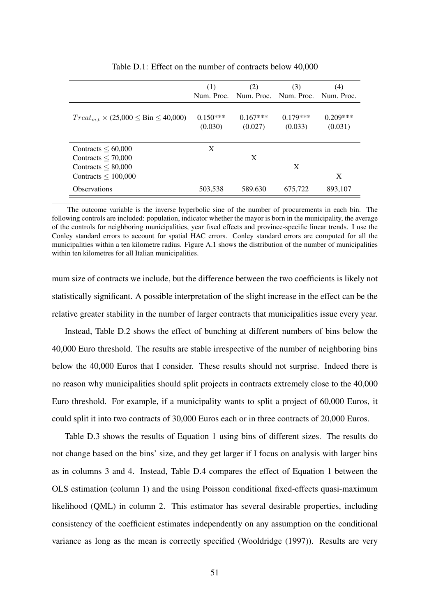|                                                    | (1)                   | (2)<br>Num. Proc. Num. Proc. Num. Proc. | (3)                   | (4)<br>Num. Proc.     |
|----------------------------------------------------|-----------------------|-----------------------------------------|-----------------------|-----------------------|
| $Treat_{m,t} \times (25,000 \leq Bin \leq 40,000)$ | $0.150***$<br>(0.030) | $0.167***$<br>(0.027)                   | $0.179***$<br>(0.033) | $0.209***$<br>(0.031) |
| Contracts $\leq 60,000$                            | X                     |                                         |                       |                       |
| Contracts $\leq 70,000$                            |                       | X                                       |                       |                       |
| Contracts $\leq 80,000$                            |                       |                                         | X                     |                       |
| Contracts $\leq 100,000$                           |                       |                                         |                       | X                     |
| <b>Observations</b>                                | 503,538               | 589.630                                 | 675,722               | 893,107               |

Table D.1: Effect on the number of contracts below 40,000

The outcome variable is the inverse hyperbolic sine of the number of procurements in each bin. The following controls are included: population, indicator whether the mayor is born in the municipality, the average of the controls for neighboring municipalities, year fixed effects and province-specific linear trends. I use the Conley standard errors to account for spatial HAC errors. Conley standard errors are computed for all the municipalities within a ten kilometre radius. Figure A.1 shows the distribution of the number of municipalities within ten kilometres for all Italian municipalities.

mum size of contracts we include, but the difference between the two coefficients is likely not statistically significant. A possible interpretation of the slight increase in the effect can be the relative greater stability in the number of larger contracts that municipalities issue every year.

Instead, Table D.2 shows the effect of bunching at different numbers of bins below the 40,000 Euro threshold. The results are stable irrespective of the number of neighboring bins below the 40,000 Euros that I consider. These results should not surprise. Indeed there is no reason why municipalities should split projects in contracts extremely close to the 40,000 Euro threshold. For example, if a municipality wants to split a project of 60,000 Euros, it could split it into two contracts of 30,000 Euros each or in three contracts of 20,000 Euros.

Table D.3 shows the results of Equation 1 using bins of different sizes. The results do not change based on the bins' size, and they get larger if I focus on analysis with larger bins as in columns 3 and 4. Instead, Table D.4 compares the effect of Equation 1 between the OLS estimation (column 1) and the using Poisson conditional fixed-effects quasi-maximum likelihood (QML) in column 2. This estimator has several desirable properties, including consistency of the coefficient estimates independently on any assumption on the conditional variance as long as the mean is correctly specified (Wooldridge (1997)). Results are very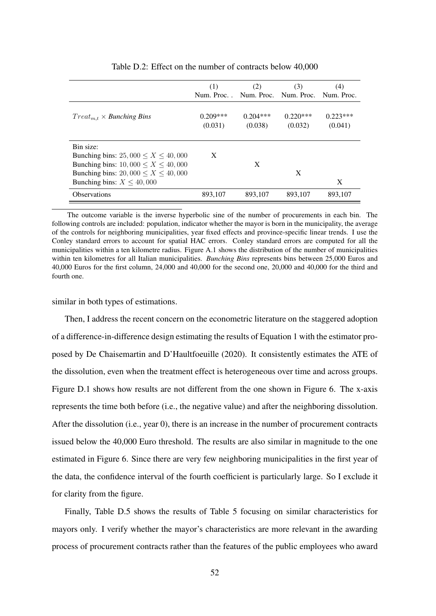|                                                                                                                                                                                       | (1)<br>Num. Proc. . Num. Proc. Num. Proc. Num. Proc. | (2)                   | (3)                   | (4)                   |
|---------------------------------------------------------------------------------------------------------------------------------------------------------------------------------------|------------------------------------------------------|-----------------------|-----------------------|-----------------------|
| $Treat_{m,t} \times Bunching \, Bins$                                                                                                                                                 | $0.209***$<br>(0.031)                                | $0.204***$<br>(0.038) | $0.220***$<br>(0.032) | $0.223***$<br>(0.041) |
| Bin size:<br>Bunching bins: 25, 000 $\leq X \leq 40,000$<br>Bunching bins: $10,000 \le X \le 40,000$<br>Bunching bins: 20, 000 $\leq X \leq 40,000$<br>Bunching bins: $X \leq 40,000$ | X                                                    | X                     | X                     | X                     |
| <b>Observations</b>                                                                                                                                                                   | 893,107                                              | 893,107               | 893,107               | 893,107               |

Table D.2: Effect on the number of contracts below 40,000

The outcome variable is the inverse hyperbolic sine of the number of procurements in each bin. The following controls are included: population, indicator whether the mayor is born in the municipality, the average of the controls for neighboring municipalities, year fixed effects and province-specific linear trends. I use the Conley standard errors to account for spatial HAC errors. Conley standard errors are computed for all the municipalities within a ten kilometre radius. Figure A.1 shows the distribution of the number of municipalities within ten kilometres for all Italian municipalities. *Bunching Bins* represents bins between 25,000 Euros and 40,000 Euros for the first column, 24,000 and 40,000 for the second one, 20,000 and 40,000 for the third and fourth one.

#### similar in both types of estimations.

Then, I address the recent concern on the econometric literature on the staggered adoption of a difference-in-difference design estimating the results of Equation 1 with the estimator proposed by De Chaisemartin and D'Haultfoeuille (2020). It consistently estimates the ATE of the dissolution, even when the treatment effect is heterogeneous over time and across groups. Figure D.1 shows how results are not different from the one shown in Figure 6. The x-axis represents the time both before (i.e., the negative value) and after the neighboring dissolution. After the dissolution (i.e., year 0), there is an increase in the number of procurement contracts issued below the 40,000 Euro threshold. The results are also similar in magnitude to the one estimated in Figure 6. Since there are very few neighboring municipalities in the first year of the data, the confidence interval of the fourth coefficient is particularly large. So I exclude it for clarity from the figure.

Finally, Table D.5 shows the results of Table 5 focusing on similar characteristics for mayors only. I verify whether the mayor's characteristics are more relevant in the awarding process of procurement contracts rather than the features of the public employees who award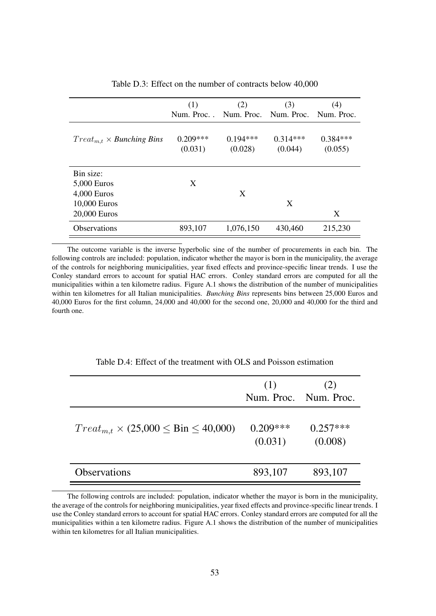|                                       | (1)                                           | (2)        | (3)        | (4)        |
|---------------------------------------|-----------------------------------------------|------------|------------|------------|
|                                       | Num. Proc. . Num. Proc. Num. Proc. Num. Proc. |            |            |            |
|                                       |                                               |            |            |            |
| $Treat_{m,t} \times Bunching \, Bins$ | $0.209***$                                    | $0.194***$ | $0.314***$ | $0.384***$ |
|                                       | (0.031)                                       | (0.028)    | (0.044)    | (0.055)    |
|                                       |                                               |            |            |            |
| Bin size:                             |                                               |            |            |            |
| 5,000 Euros                           | X                                             |            |            |            |
| 4,000 Euros                           |                                               | X          |            |            |
| 10,000 Euros                          |                                               |            | X          |            |
| 20,000 Euros                          |                                               |            |            | X          |
| <b>Observations</b>                   | 893,107                                       | 1,076,150  | 430,460    | 215,230    |

Table D.3: Effect on the number of contracts below 40,000

The outcome variable is the inverse hyperbolic sine of the number of procurements in each bin. The following controls are included: population, indicator whether the mayor is born in the municipality, the average of the controls for neighboring municipalities, year fixed effects and province-specific linear trends. I use the Conley standard errors to account for spatial HAC errors. Conley standard errors are computed for all the municipalities within a ten kilometre radius. Figure A.1 shows the distribution of the number of municipalities within ten kilometres for all Italian municipalities. *Bunching Bins* represents bins between 25,000 Euros and 40,000 Euros for the first column, 24,000 and 40,000 for the second one, 20,000 and 40,000 for the third and fourth one.

|                                                    | (1)<br>Num. Proc. Num. Proc. | (2)                   |
|----------------------------------------------------|------------------------------|-----------------------|
| $Treat_{m,t} \times (25,000 \leq Bin \leq 40,000)$ | $0.209***$<br>(0.031)        | $0.257***$<br>(0.008) |
| Observations                                       | 893,107                      | 893,107               |

Table D.4: Effect of the treatment with OLS and Poisson estimation

The following controls are included: population, indicator whether the mayor is born in the municipality, the average of the controls for neighboring municipalities, year fixed effects and province-specific linear trends. I use the Conley standard errors to account for spatial HAC errors. Conley standard errors are computed for all the municipalities within a ten kilometre radius. Figure A.1 shows the distribution of the number of municipalities within ten kilometres for all Italian municipalities.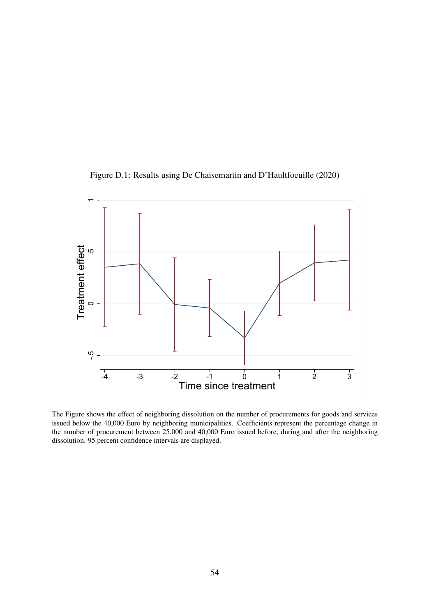



The Figure shows the effect of neighboring dissolution on the number of procurements for goods and services issued below the 40,000 Euro by neighboring municipalities. Coefficients represent the percentage change in the number of procurement between 25,000 and 40,000 Euro issued before, during and after the neighboring dissolution. 95 percent confidence intervals are displayed.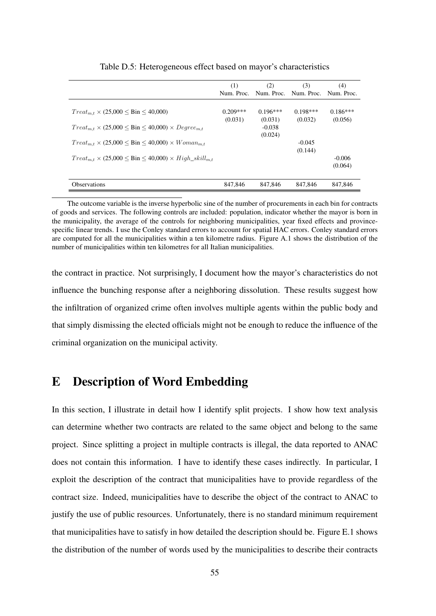|                                                                             | (1)<br>Num. Proc.     | (2)                   | (3)<br>Num. Proc. Num. Proc. Num. Proc. | (4)                   |
|-----------------------------------------------------------------------------|-----------------------|-----------------------|-----------------------------------------|-----------------------|
| $Treat_{m.t} \times (25,000 \leq Bin \leq 40,000)$                          | $0.209***$<br>(0.031) | $0.196***$<br>(0.031) | $0.198***$<br>(0.032)                   | $0.186***$<br>(0.056) |
| $Treat_{m.t} \times (25,000 \leq Bin \leq 40,000) \times Degree_{m.t}$      |                       | $-0.038$<br>(0.024)   |                                         |                       |
| $Treat_{m,t} \times (25,000 \leq Bin \leq 40,000) \times Woman_{m,t}$       |                       |                       | $-0.045$<br>(0.144)                     |                       |
| $Treat_{m,t} \times (25,000 \leq Bin \leq 40,000) \times High\_skill_{m,t}$ |                       |                       |                                         | $-0.006$<br>(0.064)   |
| <b>Observations</b>                                                         | 847,846               | 847,846               | 847,846                                 | 847,846               |

Table D.5: Heterogeneous effect based on mayor's characteristics

The outcome variable is the inverse hyperbolic sine of the number of procurements in each bin for contracts of goods and services. The following controls are included: population, indicator whether the mayor is born in the municipality, the average of the controls for neighboring municipalities, year fixed effects and provincespecific linear trends. I use the Conley standard errors to account for spatial HAC errors. Conley standard errors are computed for all the municipalities within a ten kilometre radius. Figure A.1 shows the distribution of the number of municipalities within ten kilometres for all Italian municipalities.

the contract in practice. Not surprisingly, I document how the mayor's characteristics do not influence the bunching response after a neighboring dissolution. These results suggest how the infiltration of organized crime often involves multiple agents within the public body and that simply dismissing the elected officials might not be enough to reduce the influence of the criminal organization on the municipal activity.

### E Description of Word Embedding

In this section, I illustrate in detail how I identify split projects. I show how text analysis can determine whether two contracts are related to the same object and belong to the same project. Since splitting a project in multiple contracts is illegal, the data reported to ANAC does not contain this information. I have to identify these cases indirectly. In particular, I exploit the description of the contract that municipalities have to provide regardless of the contract size. Indeed, municipalities have to describe the object of the contract to ANAC to justify the use of public resources. Unfortunately, there is no standard minimum requirement that municipalities have to satisfy in how detailed the description should be. Figure E.1 shows the distribution of the number of words used by the municipalities to describe their contracts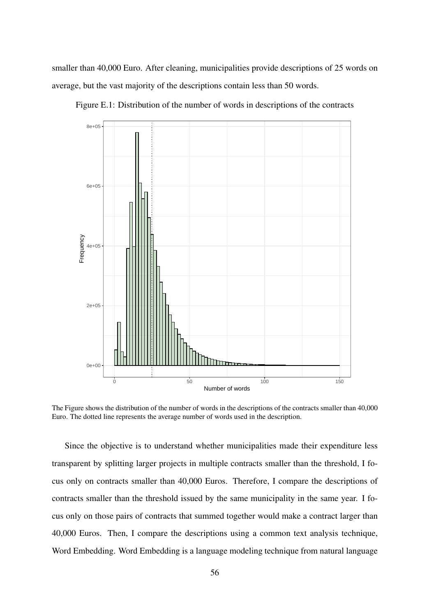smaller than 40,000 Euro. After cleaning, municipalities provide descriptions of 25 words on average, but the vast majority of the descriptions contain less than 50 words.



Figure E.1: Distribution of the number of words in descriptions of the contracts

The Figure shows the distribution of the number of words in the descriptions of the contracts smaller than 40,000 Euro. The dotted line represents the average number of words used in the description.

Since the objective is to understand whether municipalities made their expenditure less transparent by splitting larger projects in multiple contracts smaller than the threshold, I focus only on contracts smaller than 40,000 Euros. Therefore, I compare the descriptions of contracts smaller than the threshold issued by the same municipality in the same year. I focus only on those pairs of contracts that summed together would make a contract larger than 40,000 Euros. Then, I compare the descriptions using a common text analysis technique, Word Embedding. Word Embedding is a language modeling technique from natural language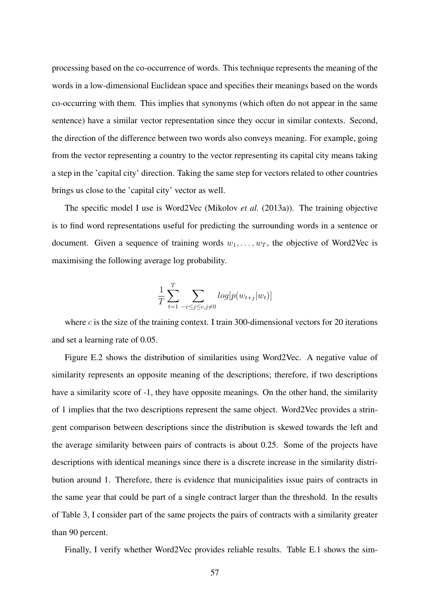processing based on the co-occurrence of words. This technique represents the meaning of the words in a low-dimensional Euclidean space and specifies their meanings based on the words co-occurring with them. This implies that synonyms (which often do not appear in the same sentence) have a similar vector representation since they occur in similar contexts. Second, the direction of the difference between two words also conveys meaning. For example, going from the vector representing a country to the vector representing its capital city means taking a step in the 'capital city' direction. Taking the same step for vectors related to other countries brings us close to the 'capital city' vector as well.

The specific model I use is Word2Vec (Mikolov *et al.* (2013a)). The training objective is to find word representations useful for predicting the surrounding words in a sentence or document. Given a sequence of training words  $w_1, \ldots, w_T$ , the objective of Word2Vec is maximising the following average log probability.

$$
\frac{1}{T} \sum_{t=1}^{T} \sum_{-c \le j \le c, j \neq 0} log[p(w_{t+j}|w_t)]
$$

where  $c$  is the size of the training context. I train 300-dimensional vectors for 20 iterations and set a learning rate of 0.05.

Figure E.2 shows the distribution of similarities using Word2Vec. A negative value of similarity represents an opposite meaning of the descriptions; therefore, if two descriptions have a similarity score of -1, they have opposite meanings. On the other hand, the similarity of 1 implies that the two descriptions represent the same object. Word2Vec provides a stringent comparison between descriptions since the distribution is skewed towards the left and the average similarity between pairs of contracts is about 0.25. Some of the projects have descriptions with identical meanings since there is a discrete increase in the similarity distribution around 1. Therefore, there is evidence that municipalities issue pairs of contracts in the same year that could be part of a single contract larger than the threshold. In the results of Table 3, I consider part of the same projects the pairs of contracts with a similarity greater than 90 percent.

Finally, I verify whether Word2Vec provides reliable results. Table E.1 shows the sim-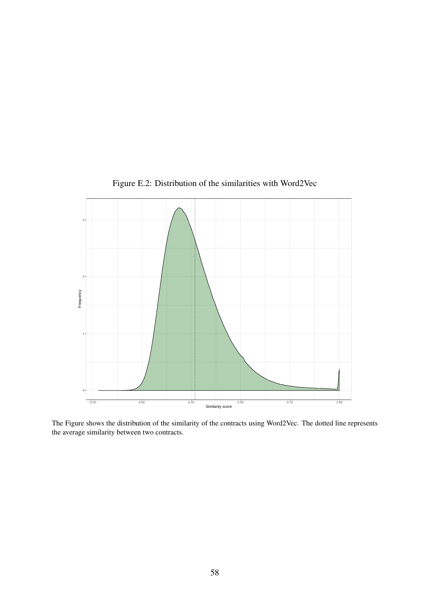![](_page_58_Figure_0.jpeg)

Figure E.2: Distribution of the similarities with Word2Vec

The Figure shows the distribution of the similarity of the contracts using Word2Vec. The dotted line represents the average similarity between two contracts.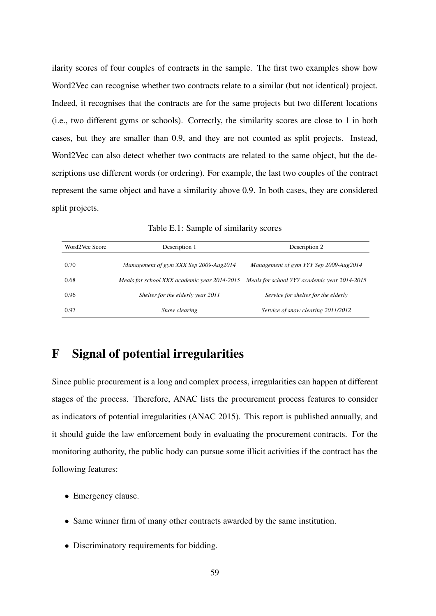ilarity scores of four couples of contracts in the sample. The first two examples show how Word2Vec can recognise whether two contracts relate to a similar (but not identical) project. Indeed, it recognises that the contracts are for the same projects but two different locations (i.e., two different gyms or schools). Correctly, the similarity scores are close to 1 in both cases, but they are smaller than 0.9, and they are not counted as split projects. Instead, Word2Vec can also detect whether two contracts are related to the same object, but the descriptions use different words (or ordering). For example, the last two couples of the contract represent the same object and have a similarity above 0.9. In both cases, they are considered split projects.

Table E.1: Sample of similarity scores

| Word2Vec Score | Description 1                                | Description 2                                |  |  |
|----------------|----------------------------------------------|----------------------------------------------|--|--|
| 0.70           | Management of gym XXX Sep 2009-Aug2014       | Management of gym YYY Sep 2009-Aug2014       |  |  |
| 0.68           | Meals for school XXX academic year 2014-2015 | Meals for school YYY academic year 2014-2015 |  |  |
| 0.96           | Shelter for the elderly year 2011            | Service for shelter for the elderly          |  |  |
| 0.97           | Snow clearing                                | Service of snow clearing 2011/2012           |  |  |

### F Signal of potential irregularities

Since public procurement is a long and complex process, irregularities can happen at different stages of the process. Therefore, ANAC lists the procurement process features to consider as indicators of potential irregularities (ANAC 2015). This report is published annually, and it should guide the law enforcement body in evaluating the procurement contracts. For the monitoring authority, the public body can pursue some illicit activities if the contract has the following features:

- Emergency clause.
- Same winner firm of many other contracts awarded by the same institution.
- Discriminatory requirements for bidding.